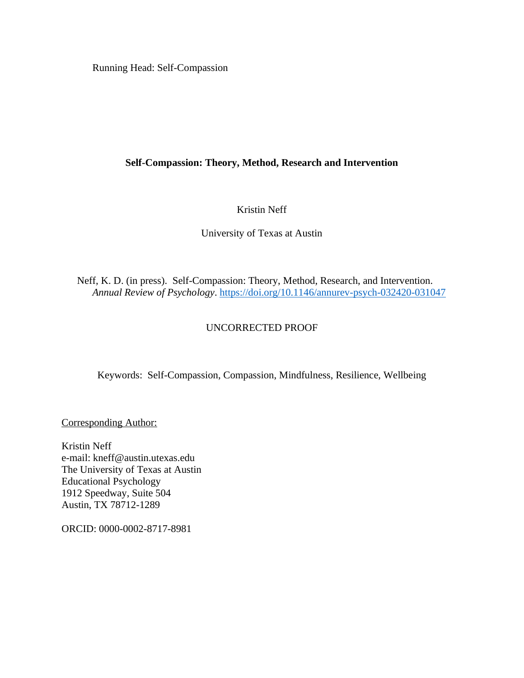Running Head: Self-Compassion

# **Self-Compassion: Theory, Method, Research and Intervention**

# Kristin Neff

# University of Texas at Austin

Neff, K. D. (in press). Self-Compassion: Theory, Method, Research, and Intervention. *Annual Review of Psychology*.<https://doi.org/10.1146/annurev-psych-032420-031047>

# UNCORRECTED PROOF

Keywords: Self-Compassion, Compassion, Mindfulness, Resilience, Wellbeing

Corresponding Author:

Kristin Neff e-mail: kneff@austin.utexas.edu The University of Texas at Austin Educational Psychology 1912 Speedway, Suite 504 Austin, TX 78712-1289

ORCID: 0000-0002-8717-8981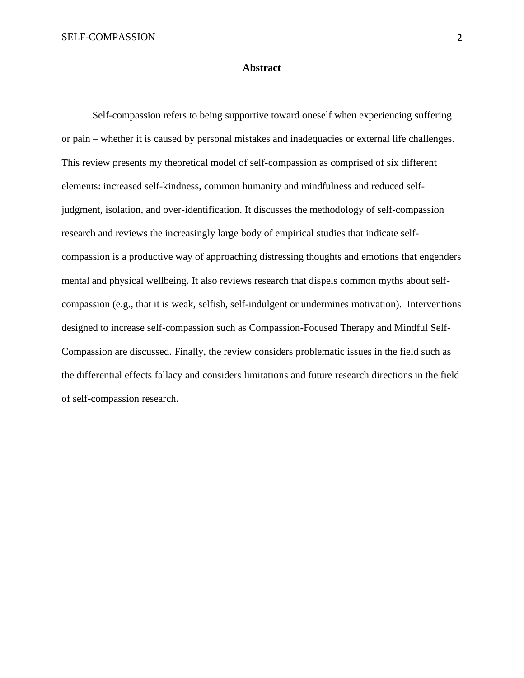#### **Abstract**

Self-compassion refers to being supportive toward oneself when experiencing suffering or pain – whether it is caused by personal mistakes and inadequacies or external life challenges. This review presents my theoretical model of self-compassion as comprised of six different elements: increased self-kindness, common humanity and mindfulness and reduced selfjudgment, isolation, and over-identification. It discusses the methodology of self-compassion research and reviews the increasingly large body of empirical studies that indicate selfcompassion is a productive way of approaching distressing thoughts and emotions that engenders mental and physical wellbeing. It also reviews research that dispels common myths about selfcompassion (e.g., that it is weak, selfish, self-indulgent or undermines motivation). Interventions designed to increase self-compassion such as Compassion-Focused Therapy and Mindful Self-Compassion are discussed. Finally, the review considers problematic issues in the field such as the differential effects fallacy and considers limitations and future research directions in the field of self-compassion research.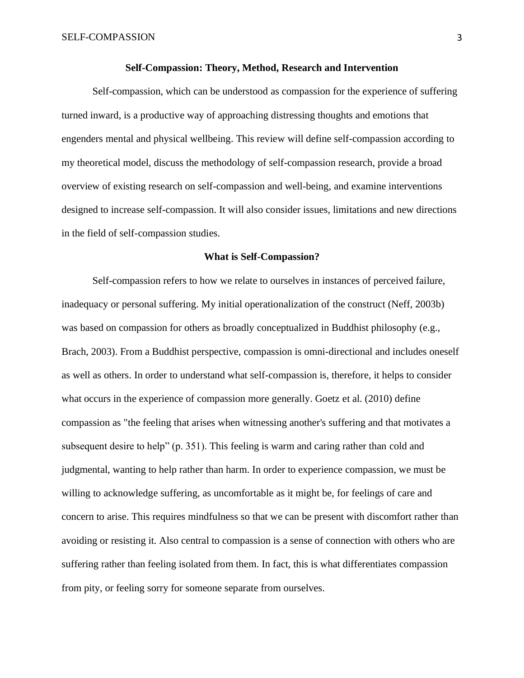#### **Self-Compassion: Theory, Method, Research and Intervention**

Self-compassion, which can be understood as compassion for the experience of suffering turned inward, is a productive way of approaching distressing thoughts and emotions that engenders mental and physical wellbeing. This review will define self-compassion according to my theoretical model, discuss the methodology of self-compassion research, provide a broad overview of existing research on self-compassion and well-being, and examine interventions designed to increase self-compassion. It will also consider issues, limitations and new directions in the field of self-compassion studies.

#### **What is Self-Compassion?**

Self-compassion refers to how we relate to ourselves in instances of perceived failure, inadequacy or personal suffering. My initial operationalization of the construct (Neff, 2003b) was based on compassion for others as broadly conceptualized in Buddhist philosophy (e.g., Brach, 2003). From a Buddhist perspective, compassion is omni-directional and includes oneself as well as others. In order to understand what self-compassion is, therefore, it helps to consider what occurs in the experience of compassion more generally. Goetz et al. (2010) define compassion as "the feeling that arises when witnessing another's suffering and that motivates a subsequent desire to help" (p. 351). This feeling is warm and caring rather than cold and judgmental, wanting to help rather than harm. In order to experience compassion, we must be willing to acknowledge suffering, as uncomfortable as it might be, for feelings of care and concern to arise. This requires mindfulness so that we can be present with discomfort rather than avoiding or resisting it. Also central to compassion is a sense of connection with others who are suffering rather than feeling isolated from them. In fact, this is what differentiates compassion from pity, or feeling sorry for someone separate from ourselves.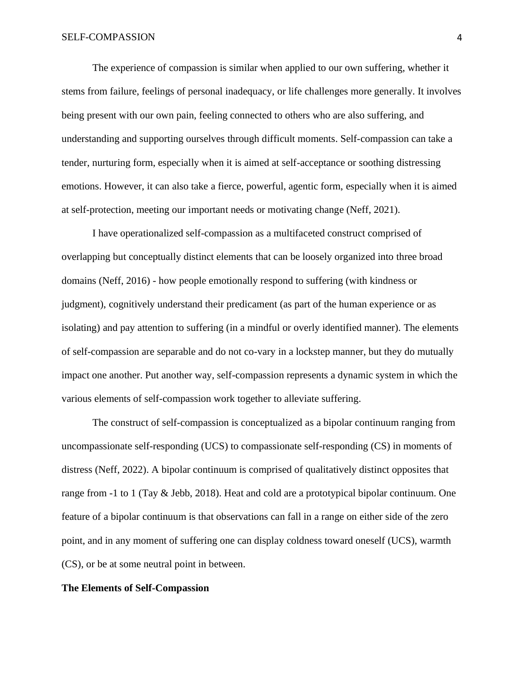The experience of compassion is similar when applied to our own suffering, whether it stems from failure, feelings of personal inadequacy, or life challenges more generally. It involves being present with our own pain, feeling connected to others who are also suffering, and understanding and supporting ourselves through difficult moments. Self-compassion can take a tender, nurturing form, especially when it is aimed at self-acceptance or soothing distressing emotions. However, it can also take a fierce, powerful, agentic form, especially when it is aimed at self-protection, meeting our important needs or motivating change (Neff, 2021).

I have operationalized self-compassion as a multifaceted construct comprised of overlapping but conceptually distinct elements that can be loosely organized into three broad domains (Neff, 2016) - how people emotionally respond to suffering (with kindness or judgment), cognitively understand their predicament (as part of the human experience or as isolating) and pay attention to suffering (in a mindful or overly identified manner). The elements of self-compassion are separable and do not co-vary in a lockstep manner, but they do mutually impact one another. Put another way, self-compassion represents a dynamic system in which the various elements of self-compassion work together to alleviate suffering.

The construct of self-compassion is conceptualized as a bipolar continuum ranging from uncompassionate self-responding (UCS) to compassionate self-responding (CS) in moments of distress (Neff, 2022). A bipolar continuum is comprised of qualitatively distinct opposites that range from -1 to 1 (Tay & Jebb, 2018). Heat and cold are a prototypical bipolar continuum. One feature of a bipolar continuum is that observations can fall in a range on either side of the zero point, and in any moment of suffering one can display coldness toward oneself (UCS), warmth (CS), or be at some neutral point in between.

## **The Elements of Self-Compassion**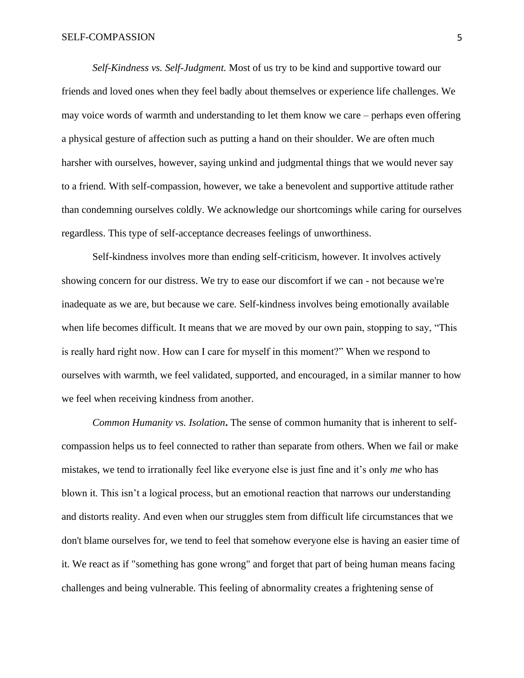#### SELF-COMPASSION 5

*Self-Kindness vs. Self-Judgment.* Most of us try to be kind and supportive toward our friends and loved ones when they feel badly about themselves or experience life challenges. We may voice words of warmth and understanding to let them know we care – perhaps even offering a physical gesture of affection such as putting a hand on their shoulder. We are often much harsher with ourselves, however, saying unkind and judgmental things that we would never say to a friend. With self-compassion, however, we take a benevolent and supportive attitude rather than condemning ourselves coldly. We acknowledge our shortcomings while caring for ourselves regardless. This type of self-acceptance decreases feelings of unworthiness.

Self-kindness involves more than ending self-criticism, however. It involves actively showing concern for our distress. We try to ease our discomfort if we can - not because we're inadequate as we are, but because we care. Self-kindness involves being emotionally available when life becomes difficult. It means that we are moved by our own pain, stopping to say, "This is really hard right now. How can I care for myself in this moment?" When we respond to ourselves with warmth, we feel validated, supported, and encouraged, in a similar manner to how we feel when receiving kindness from another.

*Common Humanity vs. Isolation***.** The sense of common humanity that is inherent to selfcompassion helps us to feel connected to rather than separate from others. When we fail or make mistakes, we tend to irrationally feel like everyone else is just fine and it's only *me* who has blown it. This isn't a logical process, but an emotional reaction that narrows our understanding and distorts reality. And even when our struggles stem from difficult life circumstances that we don't blame ourselves for, we tend to feel that somehow everyone else is having an easier time of it. We react as if "something has gone wrong" and forget that part of being human means facing challenges and being vulnerable. This feeling of abnormality creates a frightening sense of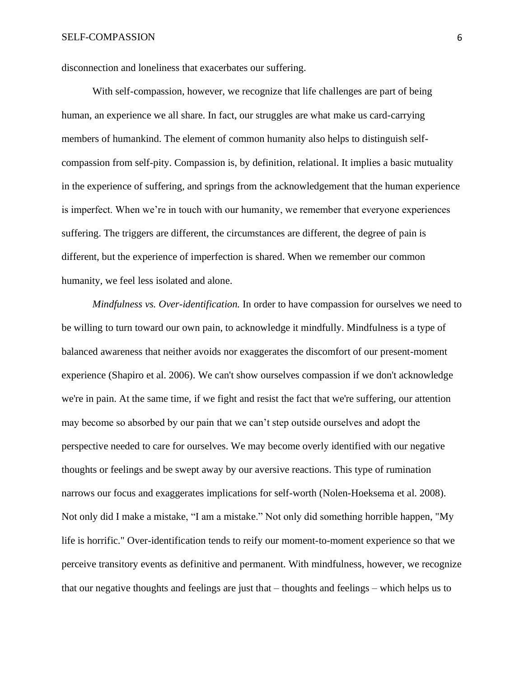disconnection and loneliness that exacerbates our suffering.

With self-compassion, however, we recognize that life challenges are part of being human, an experience we all share. In fact, our struggles are what make us card-carrying members of humankind. The element of common humanity also helps to distinguish selfcompassion from self-pity. Compassion is, by definition, relational. It implies a basic mutuality in the experience of suffering, and springs from the acknowledgement that the human experience is imperfect. When we're in touch with our humanity, we remember that everyone experiences suffering. The triggers are different, the circumstances are different, the degree of pain is different, but the experience of imperfection is shared. When we remember our common humanity, we feel less isolated and alone.

*Mindfulness vs. Over-identification.* In order to have compassion for ourselves we need to be willing to turn toward our own pain, to acknowledge it mindfully. Mindfulness is a type of balanced awareness that neither avoids nor exaggerates the discomfort of our present-moment experience (Shapiro et al. 2006). We can't show ourselves compassion if we don't acknowledge we're in pain. At the same time, if we fight and resist the fact that we're suffering, our attention may become so absorbed by our pain that we can't step outside ourselves and adopt the perspective needed to care for ourselves. We may become overly identified with our negative thoughts or feelings and be swept away by our aversive reactions. This type of rumination narrows our focus and exaggerates implications for self-worth (Nolen-Hoeksema et al. 2008). Not only did I make a mistake, "I am a mistake." Not only did something horrible happen, "My life is horrific." Over-identification tends to reify our moment-to-moment experience so that we perceive transitory events as definitive and permanent. With mindfulness, however, we recognize that our negative thoughts and feelings are just that – thoughts and feelings – which helps us to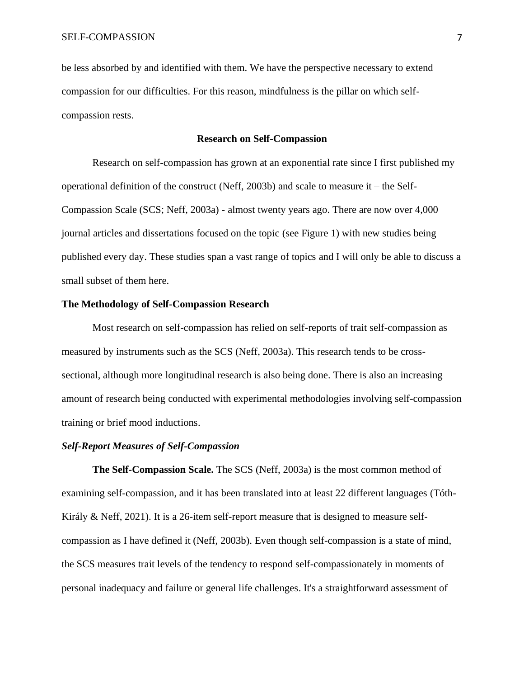be less absorbed by and identified with them. We have the perspective necessary to extend compassion for our difficulties. For this reason, mindfulness is the pillar on which selfcompassion rests.

### **Research on Self-Compassion**

Research on self-compassion has grown at an exponential rate since I first published my operational definition of the construct (Neff, 2003b) and scale to measure it – the Self-Compassion Scale (SCS; Neff, 2003a) - almost twenty years ago. There are now over 4,000 journal articles and dissertations focused on the topic (see Figure 1) with new studies being published every day. These studies span a vast range of topics and I will only be able to discuss a small subset of them here.

## **The Methodology of Self-Compassion Research**

Most research on self-compassion has relied on self-reports of trait self-compassion as measured by instruments such as the SCS (Neff, 2003a). This research tends to be crosssectional, although more longitudinal research is also being done. There is also an increasing amount of research being conducted with experimental methodologies involving self-compassion training or brief mood inductions.

## *Self-Report Measures of Self-Compassion*

**The Self-Compassion Scale.** The SCS (Neff, 2003a) is the most common method of examining self-compassion, and it has been translated into at least 22 different languages (Tóth-Király & Neff, 2021). It is a 26-item self-report measure that is designed to measure selfcompassion as I have defined it (Neff, 2003b). Even though self-compassion is a state of mind, the SCS measures trait levels of the tendency to respond self-compassionately in moments of personal inadequacy and failure or general life challenges. It's a straightforward assessment of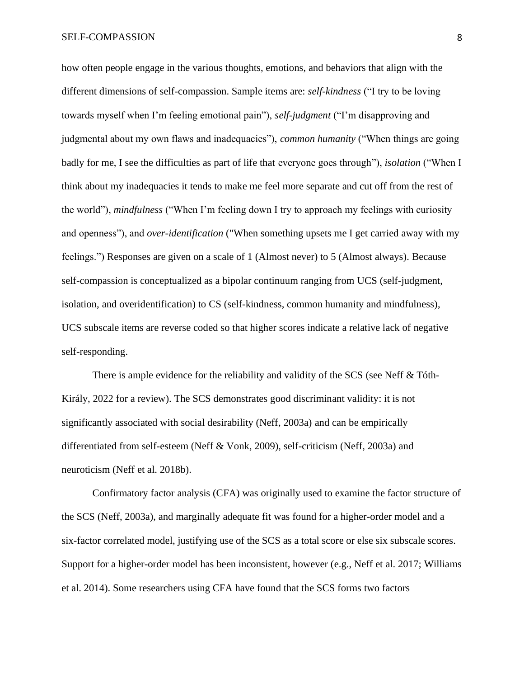how often people engage in the various thoughts, emotions, and behaviors that align with the different dimensions of self-compassion. Sample items are: *self-kindness* ("I try to be loving towards myself when I'm feeling emotional pain"), *self-judgment* ("I'm disapproving and judgmental about my own flaws and inadequacies"), *common humanity* ("When things are going badly for me, I see the difficulties as part of life that everyone goes through"), *isolation* ("When I think about my inadequacies it tends to make me feel more separate and cut off from the rest of the world"), *mindfulness* ("When I'm feeling down I try to approach my feelings with curiosity and openness"), and *over-identification* ("When something upsets me I get carried away with my feelings.") Responses are given on a scale of 1 (Almost never) to 5 (Almost always). Because self-compassion is conceptualized as a bipolar continuum ranging from UCS (self-judgment, isolation, and overidentification) to CS (self-kindness, common humanity and mindfulness), UCS subscale items are reverse coded so that higher scores indicate a relative lack of negative self-responding.

There is ample evidence for the reliability and validity of the SCS (see Neff & Tóth-Király, 2022 for a review). The SCS demonstrates good discriminant validity: it is not significantly associated with social desirability (Neff, 2003a) and can be empirically differentiated from self-esteem (Neff & Vonk, 2009), self-criticism (Neff, 2003a) and neuroticism (Neff et al. 2018b).

Confirmatory factor analysis (CFA) was originally used to examine the factor structure of the SCS (Neff, 2003a), and marginally adequate fit was found for a higher-order model and a six-factor correlated model, justifying use of the SCS as a total score or else six subscale scores. Support for a higher-order model has been inconsistent, however (e.g., Neff et al. 2017; Williams et al. 2014). Some researchers using CFA have found that the SCS forms two factors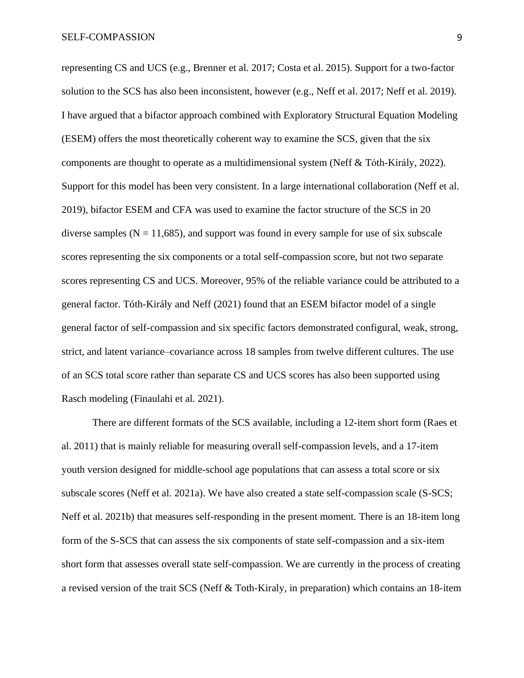representing CS and UCS (e.g., Brenner et al. 2017; Costa et al. 2015). Support for a two-factor solution to the SCS has also been inconsistent, however (e.g., Neff et al. 2017; Neff et al. 2019). I have argued that a bifactor approach combined with Exploratory Structural Equation Modeling (ESEM) offers the most theoretically coherent way to examine the SCS, given that the six components are thought to operate as a multidimensional system (Neff & Tóth-Király, 2022). Support for this model has been very consistent. In a large international collaboration (Neff et al. 2019), bifactor ESEM and CFA was used to examine the factor structure of the SCS in 20 diverse samples ( $N = 11,685$ ), and support was found in every sample for use of six subscale scores representing the six components or a total self-compassion score, but not two separate scores representing CS and UCS. Moreover, 95% of the reliable variance could be attributed to a general factor. Tóth-Király and Neff (2021) found that an ESEM bifactor model of a single general factor of self-compassion and six specific factors demonstrated configural, weak, strong, strict, and latent variance–covariance across 18 samples from twelve different cultures. The use of an SCS total score rather than separate CS and UCS scores has also been supported using Rasch modeling (Finaulahi et al. 2021).

There are different formats of the SCS available, including a 12-item short form (Raes et al. 2011) that is mainly reliable for measuring overall self-compassion levels, and a 17-item youth version designed for middle-school age populations that can assess a total score or six subscale scores (Neff et al. 2021a). We have also created a state self-compassion scale (S-SCS; Neff et al. 2021b) that measures self-responding in the present moment. There is an 18-item long form of the S-SCS that can assess the six components of state self-compassion and a six-item short form that assesses overall state self-compassion. We are currently in the process of creating a revised version of the trait SCS (Neff & Toth-Kiraly, in preparation) which contains an 18-item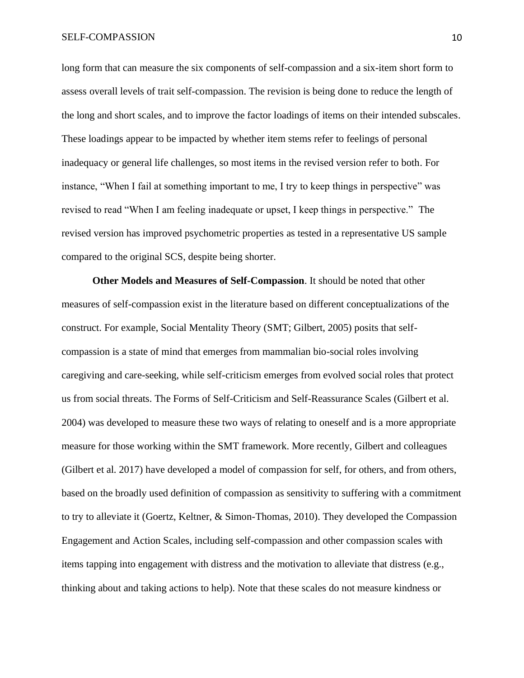long form that can measure the six components of self-compassion and a six-item short form to assess overall levels of trait self-compassion. The revision is being done to reduce the length of the long and short scales, and to improve the factor loadings of items on their intended subscales. These loadings appear to be impacted by whether item stems refer to feelings of personal inadequacy or general life challenges, so most items in the revised version refer to both. For instance, "When I fail at something important to me, I try to keep things in perspective" was revised to read "When I am feeling inadequate or upset, I keep things in perspective." The revised version has improved psychometric properties as tested in a representative US sample compared to the original SCS, despite being shorter.

**Other Models and Measures of Self-Compassion**. It should be noted that other measures of self-compassion exist in the literature based on different conceptualizations of the construct. For example, Social Mentality Theory (SMT; Gilbert, 2005) posits that selfcompassion is a state of mind that emerges from mammalian bio-social roles involving caregiving and care-seeking, while self-criticism emerges from evolved social roles that protect us from social threats. The Forms of Self-Criticism and Self-Reassurance Scales (Gilbert et al. 2004) was developed to measure these two ways of relating to oneself and is a more appropriate measure for those working within the SMT framework. More recently, Gilbert and colleagues (Gilbert et al. 2017) have developed a model of compassion for self, for others, and from others, based on the broadly used definition of compassion as sensitivity to suffering with a commitment to try to alleviate it (Goertz, Keltner, & Simon-Thomas, 2010). They developed the Compassion Engagement and Action Scales, including self-compassion and other compassion scales with items tapping into engagement with distress and the motivation to alleviate that distress (e.g., thinking about and taking actions to help). Note that these scales do not measure kindness or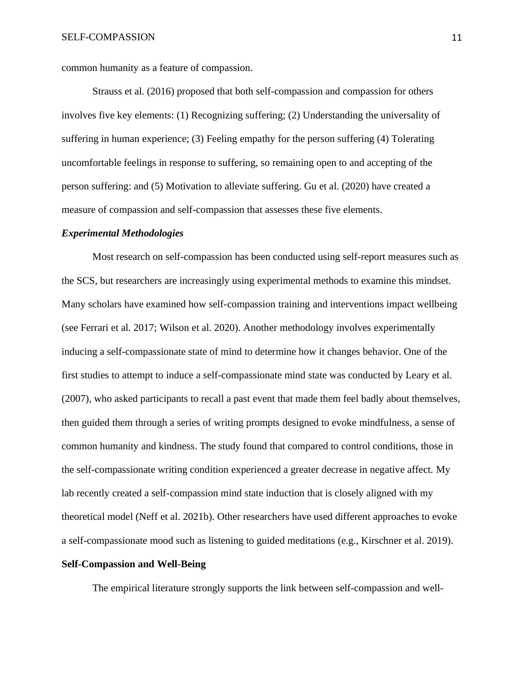common humanity as a feature of compassion.

Strauss et al. (2016) proposed that both self-compassion and compassion for others involves five key elements: (1) Recognizing suffering; (2) Understanding the universality of suffering in human experience; (3) Feeling empathy for the person suffering (4) Tolerating uncomfortable feelings in response to suffering, so remaining open to and accepting of the person suffering: and (5) Motivation to alleviate suffering. Gu et al. (2020) have created a measure of compassion and self-compassion that assesses these five elements.

#### *Experimental Methodologies*

Most research on self-compassion has been conducted using self-report measures such as the SCS, but researchers are increasingly using experimental methods to examine this mindset. Many scholars have examined how self-compassion training and interventions impact wellbeing (see Ferrari et al. 2017; Wilson et al. 2020). Another methodology involves experimentally inducing a self-compassionate state of mind to determine how it changes behavior. One of the first studies to attempt to induce a self-compassionate mind state was conducted by Leary et al. (2007), who asked participants to recall a past event that made them feel badly about themselves, then guided them through a series of writing prompts designed to evoke mindfulness, a sense of common humanity and kindness. The study found that compared to control conditions, those in the self-compassionate writing condition experienced a greater decrease in negative affect. My lab recently created a self-compassion mind state induction that is closely aligned with my theoretical model (Neff et al. 2021b). Other researchers have used different approaches to evoke a self-compassionate mood such as listening to guided meditations (e.g., Kirschner et al. 2019).

## **Self-Compassion and Well-Being**

The empirical literature strongly supports the link between self-compassion and well-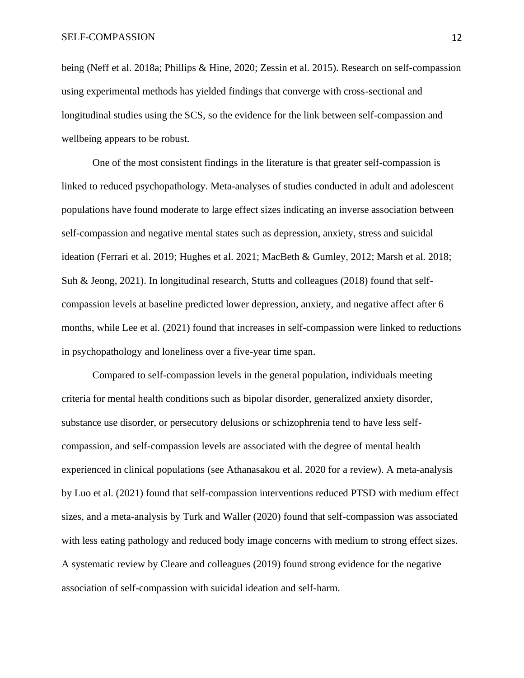being (Neff et al. 2018a; Phillips & Hine, 2020; Zessin et al. 2015). Research on self-compassion using experimental methods has yielded findings that converge with cross-sectional and longitudinal studies using the SCS, so the evidence for the link between self-compassion and wellbeing appears to be robust.

One of the most consistent findings in the literature is that greater self-compassion is linked to reduced psychopathology. Meta-analyses of studies conducted in adult and adolescent populations have found moderate to large effect sizes indicating an inverse association between self-compassion and negative mental states such as depression, anxiety, stress and suicidal ideation (Ferrari et al. 2019; Hughes et al. 2021; MacBeth & Gumley, 2012; Marsh et al. 2018; Suh & Jeong, 2021). In longitudinal research, Stutts and colleagues (2018) found that selfcompassion levels at baseline predicted lower depression, anxiety, and negative affect after 6 months, while Lee et al. (2021) found that increases in self-compassion were linked to reductions in psychopathology and loneliness over a five-year time span.

Compared to self-compassion levels in the general population, individuals meeting criteria for mental health conditions such as bipolar disorder, generalized anxiety disorder, substance use disorder, or persecutory delusions or schizophrenia tend to have less selfcompassion, and self-compassion levels are associated with the degree of mental health experienced in clinical populations (see Athanasakou et al. 2020 for a review). A meta-analysis by Luo et al. (2021) found that self-compassion interventions reduced PTSD with medium effect sizes, and a meta-analysis by Turk and Waller (2020) found that self-compassion was associated with less eating pathology and reduced body image concerns with medium to strong effect sizes. A systematic review by Cleare and colleagues (2019) found strong evidence for the negative association of self-compassion with suicidal ideation and self-harm.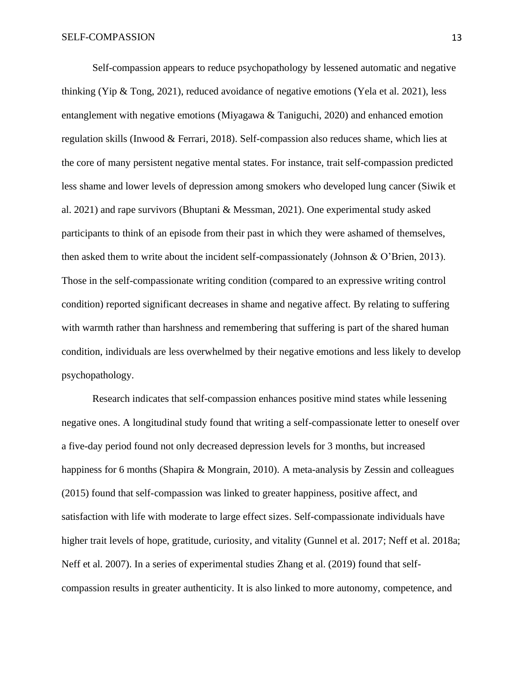Self-compassion appears to reduce psychopathology by lessened automatic and negative thinking (Yip & Tong, 2021), reduced avoidance of negative emotions (Yela et al. 2021), less entanglement with negative emotions (Miyagawa & Taniguchi, 2020) and enhanced emotion regulation skills (Inwood & Ferrari, 2018). Self-compassion also reduces shame, which lies at the core of many persistent negative mental states. For instance, trait self-compassion predicted less shame and lower levels of depression among smokers who developed lung cancer (Siwik et al. 2021) and rape survivors (Bhuptani & Messman, 2021). One experimental study asked participants to think of an episode from their past in which they were ashamed of themselves, then asked them to write about the incident self-compassionately (Johnson & O'Brien, 2013). Those in the self-compassionate writing condition (compared to an expressive writing control condition) reported significant decreases in shame and negative affect. By relating to suffering with warmth rather than harshness and remembering that suffering is part of the shared human condition, individuals are less overwhelmed by their negative emotions and less likely to develop psychopathology.

Research indicates that self-compassion enhances positive mind states while lessening negative ones. A longitudinal study found that writing a self-compassionate letter to oneself over a five-day period found not only decreased depression levels for 3 months, but increased happiness for 6 months (Shapira & Mongrain, 2010). A meta-analysis by Zessin and colleagues (2015) found that self-compassion was linked to greater happiness, positive affect, and satisfaction with life with moderate to large effect sizes. Self-compassionate individuals have higher trait levels of hope, gratitude, curiosity, and vitality (Gunnel et al. 2017; Neff et al. 2018a; Neff et al. 2007). In a series of experimental studies Zhang et al. (2019) found that selfcompassion results in greater authenticity. It is also linked to more autonomy, competence, and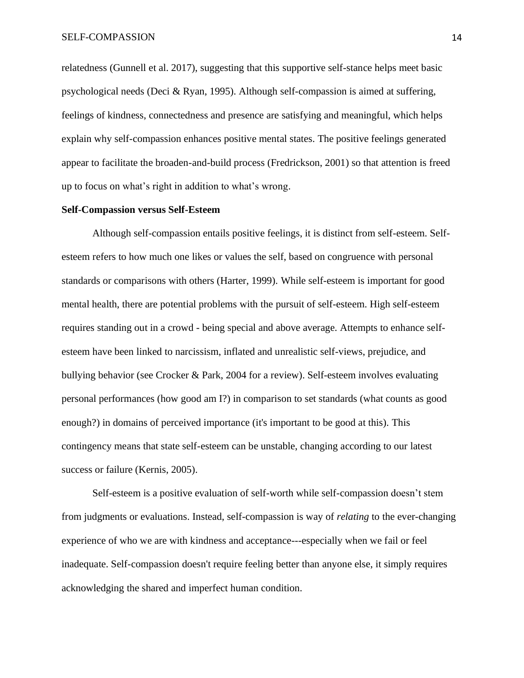relatedness (Gunnell et al. 2017), suggesting that this supportive self-stance helps meet basic psychological needs (Deci & Ryan, 1995). Although self-compassion is aimed at suffering, feelings of kindness, connectedness and presence are satisfying and meaningful, which helps explain why self-compassion enhances positive mental states. The positive feelings generated appear to facilitate the broaden-and-build process (Fredrickson, 2001) so that attention is freed up to focus on what's right in addition to what's wrong.

#### **Self-Compassion versus Self-Esteem**

Although self-compassion entails positive feelings, it is distinct from self-esteem. Selfesteem refers to how much one likes or values the self, based on congruence with personal standards or comparisons with others (Harter, 1999). While self-esteem is important for good mental health, there are potential problems with the pursuit of self-esteem. High self-esteem requires standing out in a crowd - being special and above average. Attempts to enhance selfesteem have been linked to narcissism, inflated and unrealistic self-views, prejudice, and bullying behavior (see Crocker & Park, 2004 for a review). Self-esteem involves evaluating personal performances (how good am I?) in comparison to set standards (what counts as good enough?) in domains of perceived importance (it's important to be good at this). This contingency means that state self-esteem can be unstable, changing according to our latest success or failure (Kernis, 2005).

Self-esteem is a positive evaluation of self-worth while self-compassion doesn't stem from judgments or evaluations. Instead, self-compassion is way of *relating* to the ever-changing experience of who we are with kindness and acceptance---especially when we fail or feel inadequate. Self-compassion doesn't require feeling better than anyone else, it simply requires acknowledging the shared and imperfect human condition.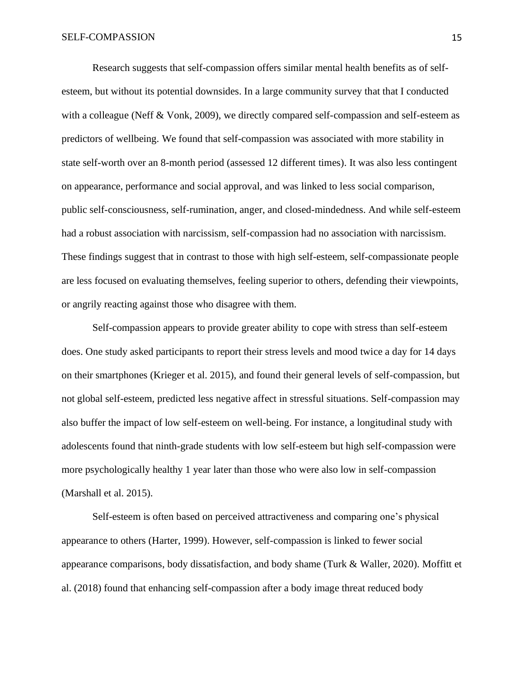Research suggests that self-compassion offers similar mental health benefits as of selfesteem, but without its potential downsides. In a large community survey that that I conducted with a colleague (Neff & Vonk, 2009), we directly compared self-compassion and self-esteem as predictors of wellbeing. We found that self-compassion was associated with more stability in state self-worth over an 8-month period (assessed 12 different times). It was also less contingent on appearance, performance and social approval, and was linked to less social comparison, public self-consciousness, self-rumination, anger, and closed-mindedness. And while self-esteem had a robust association with narcissism, self-compassion had no association with narcissism. These findings suggest that in contrast to those with high self-esteem, self-compassionate people are less focused on evaluating themselves, feeling superior to others, defending their viewpoints, or angrily reacting against those who disagree with them.

Self-compassion appears to provide greater ability to cope with stress than self-esteem does. One study asked participants to report their stress levels and mood twice a day for 14 days on their smartphones (Krieger et al. 2015), and found their general levels of self-compassion, but not global self-esteem, predicted less negative affect in stressful situations. Self-compassion may also buffer the impact of low self-esteem on well-being. For instance, a longitudinal study with adolescents found that ninth-grade students with low self-esteem but high self-compassion were more psychologically healthy 1 year later than those who were also low in self-compassion (Marshall et al. 2015).

Self-esteem is often based on perceived attractiveness and comparing one's physical appearance to others (Harter, 1999). However, self-compassion is linked to fewer social appearance comparisons, body dissatisfaction, and body shame (Turk & Waller, 2020). Moffitt et al. (2018) found that enhancing self-compassion after a body image threat reduced body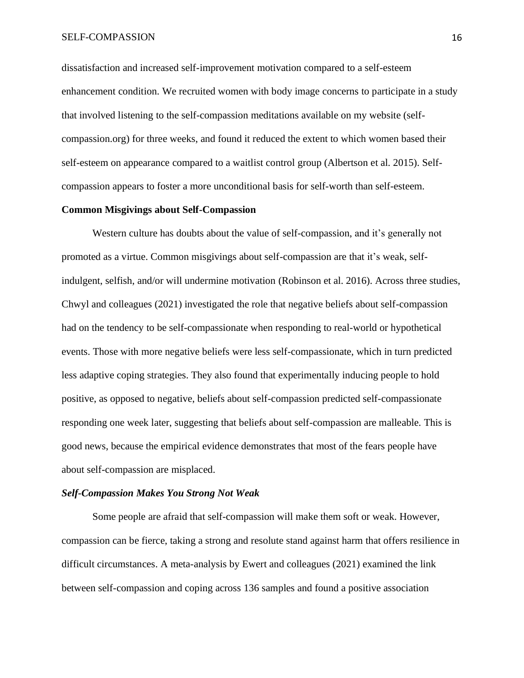dissatisfaction and increased self-improvement motivation compared to a self-esteem enhancement condition. We recruited women with body image concerns to participate in a study that involved listening to the self-compassion meditations available on my website (selfcompassion.org) for three weeks, and found it reduced the extent to which women based their self-esteem on appearance compared to a waitlist control group (Albertson et al. 2015). Selfcompassion appears to foster a more unconditional basis for self-worth than self-esteem.

### **Common Misgivings about Self-Compassion**

Western culture has doubts about the value of self-compassion, and it's generally not promoted as a virtue. Common misgivings about self-compassion are that it's weak, selfindulgent, selfish, and/or will undermine motivation (Robinson et al. 2016). Across three studies, Chwyl and colleagues (2021) investigated the role that negative beliefs about self-compassion had on the tendency to be self-compassionate when responding to real-world or hypothetical events. Those with more negative beliefs were less self-compassionate, which in turn predicted less adaptive coping strategies. They also found that experimentally inducing people to hold positive, as opposed to negative, beliefs about self-compassion predicted self-compassionate responding one week later, suggesting that beliefs about self-compassion are malleable. This is good news, because the empirical evidence demonstrates that most of the fears people have about self-compassion are misplaced.

## *Self-Compassion Makes You Strong Not Weak*

Some people are afraid that self-compassion will make them soft or weak. However, compassion can be fierce, taking a strong and resolute stand against harm that offers resilience in difficult circumstances. A meta-analysis by Ewert and colleagues (2021) examined the link between self-compassion and coping across 136 samples and found a positive association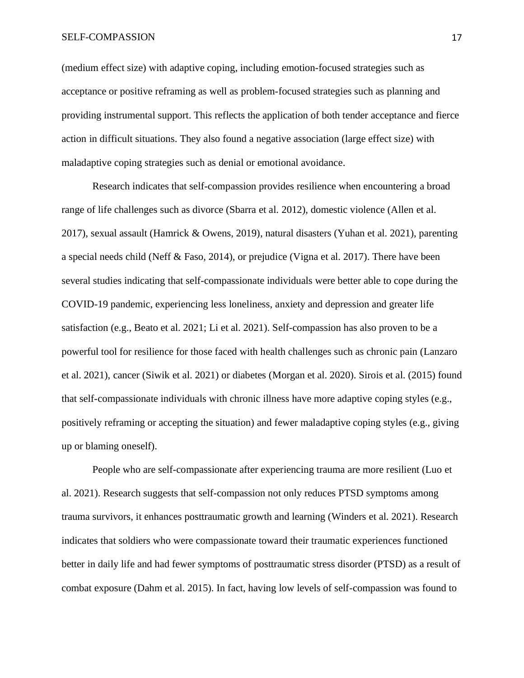#### SELF-COMPASSION 17

(medium effect size) with adaptive coping, including emotion-focused strategies such as acceptance or positive reframing as well as problem-focused strategies such as planning and providing instrumental support. This reflects the application of both tender acceptance and fierce action in difficult situations. They also found a negative association (large effect size) with maladaptive coping strategies such as denial or emotional avoidance.

Research indicates that self-compassion provides resilience when encountering a broad range of life challenges such as divorce (Sbarra et al. 2012), domestic violence (Allen et al. 2017), sexual assault (Hamrick & Owens, 2019), natural disasters (Yuhan et al. 2021), parenting a special needs child (Neff & Faso, 2014), or prejudice (Vigna et al. 2017). There have been several studies indicating that self-compassionate individuals were better able to cope during the COVID-19 pandemic, experiencing less loneliness, anxiety and depression and greater life satisfaction (e.g., Beato et al. 2021; Li et al. 2021). Self-compassion has also proven to be a powerful tool for resilience for those faced with health challenges such as chronic pain (Lanzaro et al. 2021), cancer (Siwik et al. 2021) or diabetes (Morgan et al. 2020). Sirois et al. (2015) found that self-compassionate individuals with chronic illness have more adaptive coping styles (e.g., positively reframing or accepting the situation) and fewer maladaptive coping styles (e.g., giving up or blaming oneself).

People who are self-compassionate after experiencing trauma are more resilient (Luo et al. 2021). Research suggests that self-compassion not only reduces PTSD symptoms among trauma survivors, it enhances posttraumatic growth and learning (Winders et al. 2021). Research indicates that soldiers who were compassionate toward their traumatic experiences functioned better in daily life and had fewer symptoms of posttraumatic stress disorder (PTSD) as a result of combat exposure (Dahm et al. 2015). In fact, having low levels of self-compassion was found to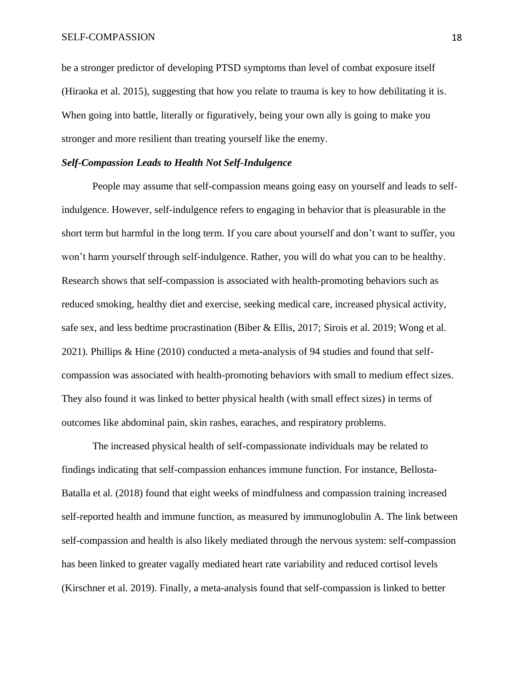be a stronger predictor of developing PTSD symptoms than level of combat exposure itself (Hiraoka et al. 2015), suggesting that how you relate to trauma is key to how debilitating it is. When going into battle, literally or figuratively, being your own ally is going to make you stronger and more resilient than treating yourself like the enemy.

## *Self-Compassion Leads to Health Not Self-Indulgence*

People may assume that self-compassion means going easy on yourself and leads to selfindulgence. However, self-indulgence refers to engaging in behavior that is pleasurable in the short term but harmful in the long term. If you care about yourself and don't want to suffer, you won't harm yourself through self-indulgence. Rather, you will do what you can to be healthy. Research shows that self-compassion is associated with health-promoting behaviors such as reduced smoking, healthy diet and exercise, seeking medical care, increased physical activity, safe sex, and less bedtime procrastination (Biber & Ellis, 2017; Sirois et al. 2019; Wong et al. 2021). Phillips & Hine (2010) conducted a meta-analysis of 94 studies and found that selfcompassion was associated with health-promoting behaviors with small to medium effect sizes. They also found it was linked to better physical health (with small effect sizes) in terms of outcomes like abdominal pain, skin rashes, earaches, and respiratory problems.

The increased physical health of self-compassionate individuals may be related to findings indicating that self-compassion enhances immune function. For instance, Bellosta-Batalla et al. (2018) found that eight weeks of mindfulness and compassion training increased self-reported health and immune function, as measured by immunoglobulin A. The link between self-compassion and health is also likely mediated through the nervous system: self-compassion has been linked to greater vagally mediated heart rate variability and reduced cortisol levels (Kirschner et al. 2019). Finally, a meta-analysis found that self-compassion is linked to better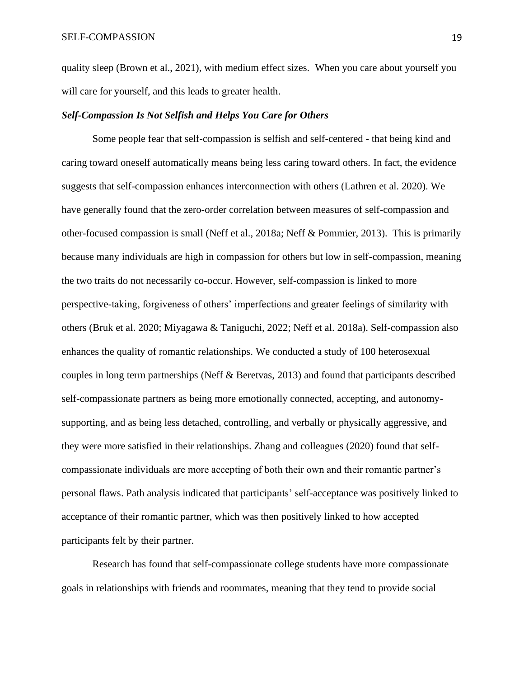quality sleep (Brown et al., 2021), with medium effect sizes. When you care about yourself you will care for yourself, and this leads to greater health.

#### *Self-Compassion Is Not Selfish and Helps You Care for Others*

Some people fear that self-compassion is selfish and self-centered - that being kind and caring toward oneself automatically means being less caring toward others. In fact, the evidence suggests that self-compassion enhances interconnection with others (Lathren et al. 2020). We have generally found that the zero-order correlation between measures of self-compassion and other-focused compassion is small (Neff et al., 2018a; Neff & Pommier, 2013). This is primarily because many individuals are high in compassion for others but low in self-compassion, meaning the two traits do not necessarily co-occur. However, self-compassion is linked to more perspective-taking, forgiveness of others' imperfections and greater feelings of similarity with others (Bruk et al. 2020; Miyagawa & Taniguchi, 2022; Neff et al. 2018a). Self-compassion also enhances the quality of romantic relationships. We conducted a study of 100 heterosexual couples in long term partnerships (Neff & Beretvas, 2013) and found that participants described self-compassionate partners as being more emotionally connected, accepting, and autonomysupporting, and as being less detached, controlling, and verbally or physically aggressive, and they were more satisfied in their relationships. Zhang and colleagues (2020) found that selfcompassionate individuals are more accepting of both their own and their romantic partner's personal flaws. Path analysis indicated that participants' self-acceptance was positively linked to acceptance of their romantic partner, which was then positively linked to how accepted participants felt by their partner.

Research has found that self-compassionate college students have more compassionate goals in relationships with friends and roommates, meaning that they tend to provide social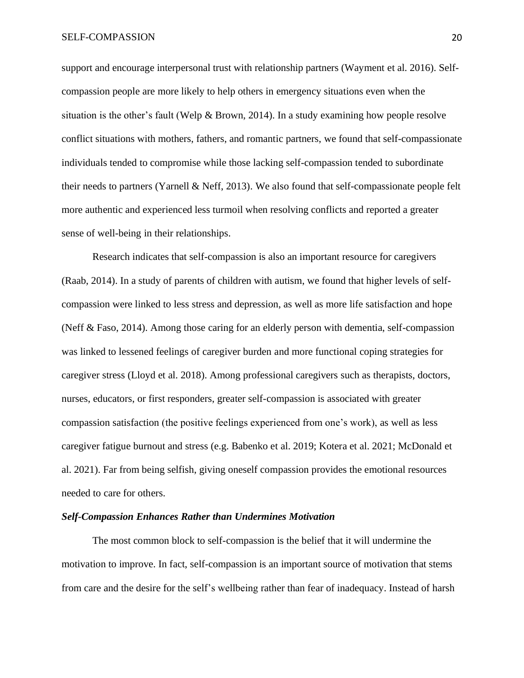support and encourage interpersonal trust with relationship partners (Wayment et al. 2016). Selfcompassion people are more likely to help others in emergency situations even when the situation is the other's fault (Welp & Brown, 2014). In a study examining how people resolve conflict situations with mothers, fathers, and romantic partners, we found that self-compassionate individuals tended to compromise while those lacking self-compassion tended to subordinate their needs to partners (Yarnell & Neff, 2013). We also found that self-compassionate people felt more authentic and experienced less turmoil when resolving conflicts and reported a greater sense of well-being in their relationships.

Research indicates that self-compassion is also an important resource for caregivers (Raab, 2014). In a study of parents of children with autism, we found that higher levels of selfcompassion were linked to less stress and depression, as well as more life satisfaction and hope (Neff & Faso, 2014). Among those caring for an elderly person with dementia, self-compassion was linked to lessened feelings of caregiver burden and more functional coping strategies for caregiver stress (Lloyd et al. 2018). Among professional caregivers such as therapists, doctors, nurses, educators, or first responders, greater self-compassion is associated with greater compassion satisfaction (the positive feelings experienced from one's work), as well as less caregiver fatigue burnout and stress (e.g. Babenko et al. 2019; Kotera et al. 2021; McDonald et al. 2021). Far from being selfish, giving oneself compassion provides the emotional resources needed to care for others.

## *Self-Compassion Enhances Rather than Undermines Motivation*

The most common block to self-compassion is the belief that it will undermine the motivation to improve. In fact, self-compassion is an important source of motivation that stems from care and the desire for the self's wellbeing rather than fear of inadequacy. Instead of harsh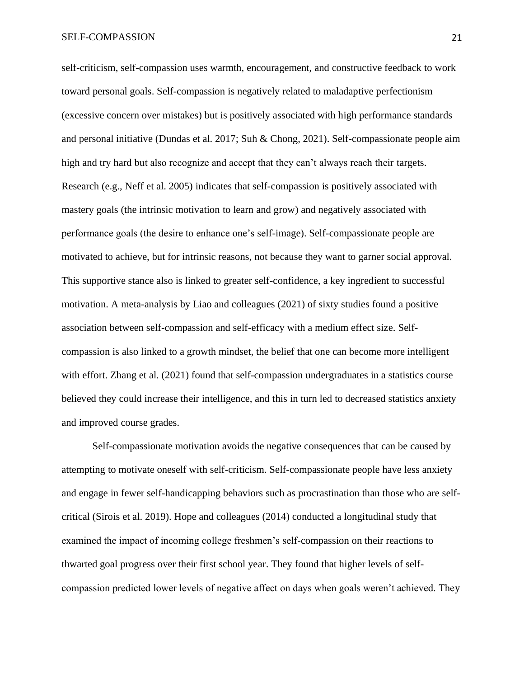self-criticism, self-compassion uses warmth, encouragement, and constructive feedback to work toward personal goals. Self-compassion is negatively related to maladaptive perfectionism (excessive concern over mistakes) but is positively associated with high performance standards and personal initiative (Dundas et al. 2017; Suh & Chong, 2021). Self-compassionate people aim high and try hard but also recognize and accept that they can't always reach their targets. Research (e.g., Neff et al. 2005) indicates that self-compassion is positively associated with mastery goals (the intrinsic motivation to learn and grow) and negatively associated with performance goals (the desire to enhance one's self-image). Self-compassionate people are motivated to achieve, but for intrinsic reasons, not because they want to garner social approval. This supportive stance also is linked to greater self-confidence, a key ingredient to successful motivation. A meta-analysis by Liao and colleagues (2021) of sixty studies found a positive association between self-compassion and self-efficacy with a medium effect size. Selfcompassion is also linked to a growth mindset, the belief that one can become more intelligent with effort. Zhang et al. (2021) found that self-compassion undergraduates in a statistics course believed they could increase their intelligence, and this in turn led to decreased statistics anxiety and improved course grades.

Self-compassionate motivation avoids the negative consequences that can be caused by attempting to motivate oneself with self-criticism. Self-compassionate people have less anxiety and engage in fewer self-handicapping behaviors such as procrastination than those who are selfcritical (Sirois et al. 2019). Hope and colleagues (2014) conducted a longitudinal study that examined the impact of incoming college freshmen's self-compassion on their reactions to thwarted goal progress over their first school year. They found that higher levels of selfcompassion predicted lower levels of negative affect on days when goals weren't achieved. They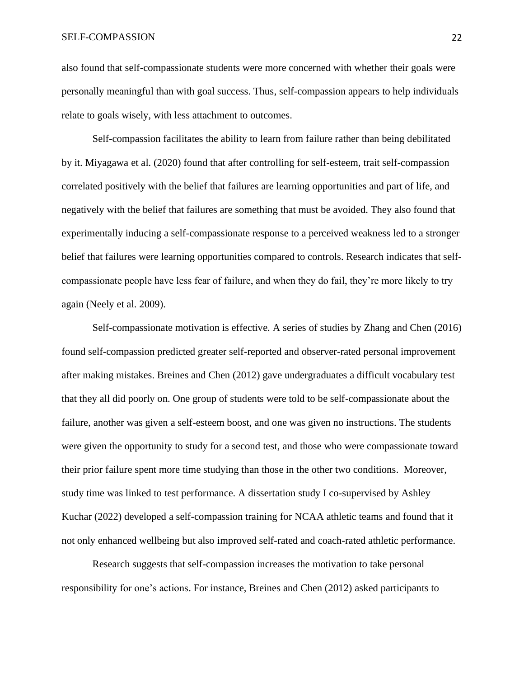### SELF-COMPASSION 22

also found that self-compassionate students were more concerned with whether their goals were personally meaningful than with goal success. Thus, self-compassion appears to help individuals relate to goals wisely, with less attachment to outcomes.

Self-compassion facilitates the ability to learn from failure rather than being debilitated by it. Miyagawa et al. (2020) found that after controlling for self-esteem, trait self-compassion correlated positively with the belief that failures are learning opportunities and part of life, and negatively with the belief that failures are something that must be avoided. They also found that experimentally inducing a self-compassionate response to a perceived weakness led to a stronger belief that failures were learning opportunities compared to controls. Research indicates that selfcompassionate people have less fear of failure, and when they do fail, they're more likely to try again (Neely et al. 2009).

Self-compassionate motivation is effective. A series of studies by Zhang and Chen (2016) found self-compassion predicted greater self-reported and observer-rated personal improvement after making mistakes. Breines and Chen (2012) gave undergraduates a difficult vocabulary test that they all did poorly on. One group of students were told to be self-compassionate about the failure, another was given a self-esteem boost, and one was given no instructions. The students were given the opportunity to study for a second test, and those who were compassionate toward their prior failure spent more time studying than those in the other two conditions. Moreover, study time was linked to test performance. A dissertation study I co-supervised by Ashley Kuchar (2022) developed a self-compassion training for NCAA athletic teams and found that it not only enhanced wellbeing but also improved self-rated and coach-rated athletic performance.

Research suggests that self-compassion increases the motivation to take personal responsibility for one's actions. For instance, Breines and Chen (2012) asked participants to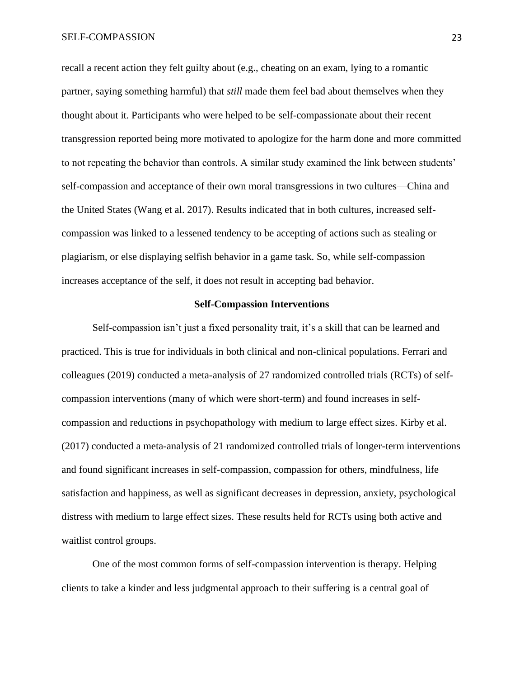recall a recent action they felt guilty about (e.g., cheating on an exam, lying to a romantic partner, saying something harmful) that *still* made them feel bad about themselves when they thought about it. Participants who were helped to be self-compassionate about their recent transgression reported being more motivated to apologize for the harm done and more committed to not repeating the behavior than controls. A similar study examined the link between students' self-compassion and acceptance of their own moral transgressions in two cultures—China and the United States (Wang et al. 2017). Results indicated that in both cultures, increased selfcompassion was linked to a lessened tendency to be accepting of actions such as stealing or plagiarism, or else displaying selfish behavior in a game task. So, while self-compassion increases acceptance of the self, it does not result in accepting bad behavior.

#### **Self-Compassion Interventions**

Self-compassion isn't just a fixed personality trait, it's a skill that can be learned and practiced. This is true for individuals in both clinical and non-clinical populations. Ferrari and colleagues (2019) conducted a meta-analysis of 27 randomized controlled trials (RCTs) of selfcompassion interventions (many of which were short-term) and found increases in selfcompassion and reductions in psychopathology with medium to large effect sizes. Kirby et al. (2017) conducted a meta-analysis of 21 randomized controlled trials of longer-term interventions and found significant increases in self-compassion, compassion for others, mindfulness, life satisfaction and happiness, as well as significant decreases in depression, anxiety, psychological distress with medium to large effect sizes. These results held for RCTs using both active and waitlist control groups.

One of the most common forms of self-compassion intervention is therapy. Helping clients to take a kinder and less judgmental approach to their suffering is a central goal of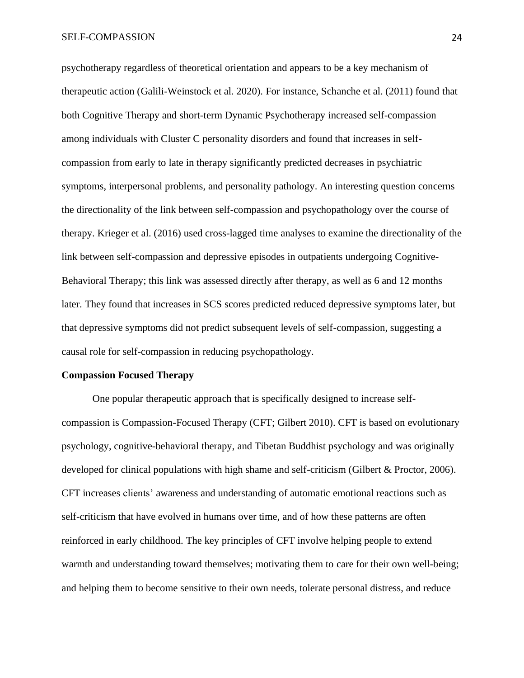psychotherapy regardless of theoretical orientation and appears to be a key mechanism of therapeutic action (Galili-Weinstock et al. 2020). For instance, Schanche et al. (2011) found that both Cognitive Therapy and short-term Dynamic Psychotherapy increased self-compassion among individuals with Cluster C personality disorders and found that increases in selfcompassion from early to late in therapy significantly predicted decreases in psychiatric symptoms, interpersonal problems, and personality pathology. An interesting question concerns the directionality of the link between self-compassion and psychopathology over the course of therapy. Krieger et al. (2016) used cross-lagged time analyses to examine the directionality of the link between self-compassion and depressive episodes in outpatients undergoing Cognitive-Behavioral Therapy; this link was assessed directly after therapy, as well as 6 and 12 months later. They found that increases in SCS scores predicted reduced depressive symptoms later, but that depressive symptoms did not predict subsequent levels of self-compassion, suggesting a causal role for self-compassion in reducing psychopathology.

### **Compassion Focused Therapy**

One popular therapeutic approach that is specifically designed to increase selfcompassion is Compassion-Focused Therapy (CFT; Gilbert 2010). CFT is based on evolutionary psychology, cognitive-behavioral therapy, and Tibetan Buddhist psychology and was originally developed for clinical populations with high shame and self-criticism (Gilbert & Proctor, 2006). CFT increases clients' awareness and understanding of automatic emotional reactions such as self-criticism that have evolved in humans over time, and of how these patterns are often reinforced in early childhood. The key principles of CFT involve helping people to extend warmth and understanding toward themselves; motivating them to care for their own well-being; and helping them to become sensitive to their own needs, tolerate personal distress, and reduce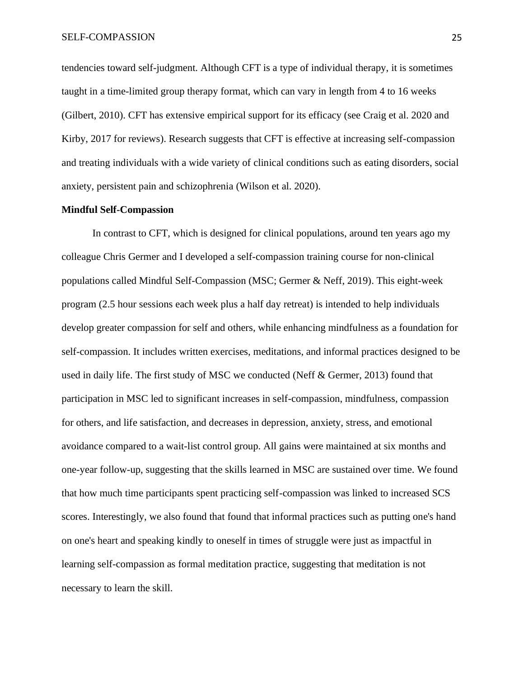tendencies toward self-judgment. Although CFT is a type of individual therapy, it is sometimes taught in a time-limited group therapy format, which can vary in length from 4 to 16 weeks (Gilbert, 2010). CFT has extensive empirical support for its efficacy (see Craig et al. 2020 and Kirby, 2017 for reviews). Research suggests that CFT is effective at increasing self-compassion and treating individuals with a wide variety of clinical conditions such as eating disorders, social anxiety, persistent pain and schizophrenia (Wilson et al. 2020).

#### **Mindful Self-Compassion**

In contrast to CFT, which is designed for clinical populations, around ten years ago my colleague Chris Germer and I developed a self-compassion training course for non-clinical populations called Mindful Self-Compassion (MSC; Germer & Neff, 2019). This eight-week program (2.5 hour sessions each week plus a half day retreat) is intended to help individuals develop greater compassion for self and others, while enhancing mindfulness as a foundation for self-compassion. It includes written exercises, meditations, and informal practices designed to be used in daily life. The first study of MSC we conducted (Neff & Germer, 2013) found that participation in MSC led to significant increases in self-compassion, mindfulness, compassion for others, and life satisfaction, and decreases in depression, anxiety, stress, and emotional avoidance compared to a wait-list control group. All gains were maintained at six months and one-year follow-up, suggesting that the skills learned in MSC are sustained over time. We found that how much time participants spent practicing self-compassion was linked to increased SCS scores. Interestingly, we also found that found that informal practices such as putting one's hand on one's heart and speaking kindly to oneself in times of struggle were just as impactful in learning self-compassion as formal meditation practice, suggesting that meditation is not necessary to learn the skill.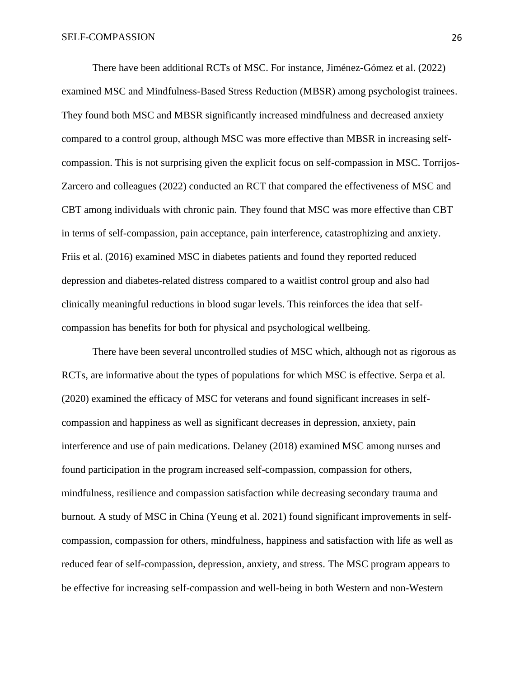There have been additional RCTs of MSC. For instance, Jiménez-Gómez et al. (2022) examined MSC and Mindfulness-Based Stress Reduction (MBSR) among psychologist trainees. They found both MSC and MBSR significantly increased mindfulness and decreased anxiety compared to a control group, although MSC was more effective than MBSR in increasing selfcompassion. This is not surprising given the explicit focus on self-compassion in MSC. Torrijos-Zarcero and colleagues (2022) conducted an RCT that compared the effectiveness of MSC and CBT among individuals with chronic pain. They found that MSC was more effective than CBT in terms of self-compassion, pain acceptance, pain interference, catastrophizing and anxiety. Friis et al. (2016) examined MSC in diabetes patients and found they reported reduced depression and diabetes-related distress compared to a waitlist control group and also had clinically meaningful reductions in blood sugar levels. This reinforces the idea that selfcompassion has benefits for both for physical and psychological wellbeing.

There have been several uncontrolled studies of MSC which, although not as rigorous as RCTs, are informative about the types of populations for which MSC is effective. Serpa et al. (2020) examined the efficacy of MSC for veterans and found significant increases in selfcompassion and happiness as well as significant decreases in depression, anxiety, pain interference and use of pain medications. Delaney (2018) examined MSC among nurses and found participation in the program increased self-compassion, compassion for others, mindfulness, resilience and compassion satisfaction while decreasing secondary trauma and burnout. A study of MSC in China (Yeung et al. 2021) found significant improvements in selfcompassion, compassion for others, mindfulness, happiness and satisfaction with life as well as reduced fear of self-compassion, depression, anxiety, and stress. The MSC program appears to be effective for increasing self-compassion and well-being in both Western and non-Western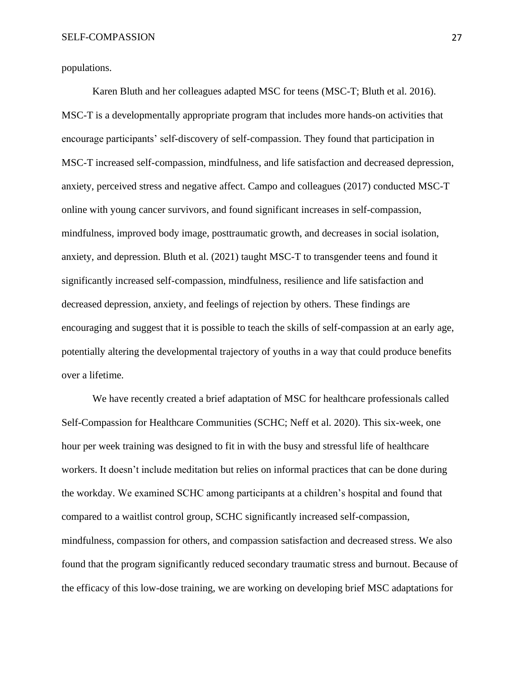populations.

Karen Bluth and her colleagues adapted MSC for teens (MSC-T; Bluth et al. 2016). MSC-T is a developmentally appropriate program that includes more hands-on activities that encourage participants' self-discovery of self-compassion. They found that participation in MSC-T increased self-compassion, mindfulness, and life satisfaction and decreased depression, anxiety, perceived stress and negative affect. Campo and colleagues (2017) conducted MSC-T online with young cancer survivors, and found significant increases in self-compassion, mindfulness, improved body image, posttraumatic growth, and decreases in social isolation, anxiety, and depression. Bluth et al. (2021) taught MSC-T to transgender teens and found it significantly increased self-compassion, mindfulness, resilience and life satisfaction and decreased depression, anxiety, and feelings of rejection by others. These findings are encouraging and suggest that it is possible to teach the skills of self-compassion at an early age, potentially altering the developmental trajectory of youths in a way that could produce benefits over a lifetime.

We have recently created a brief adaptation of MSC for healthcare professionals called Self-Compassion for Healthcare Communities (SCHC; Neff et al. 2020). This six-week, one hour per week training was designed to fit in with the busy and stressful life of healthcare workers. It doesn't include meditation but relies on informal practices that can be done during the workday. We examined SCHC among participants at a children's hospital and found that compared to a waitlist control group, SCHC significantly increased self-compassion, mindfulness, compassion for others, and compassion satisfaction and decreased stress. We also found that the program significantly reduced secondary traumatic stress and burnout. Because of the efficacy of this low-dose training, we are working on developing brief MSC adaptations for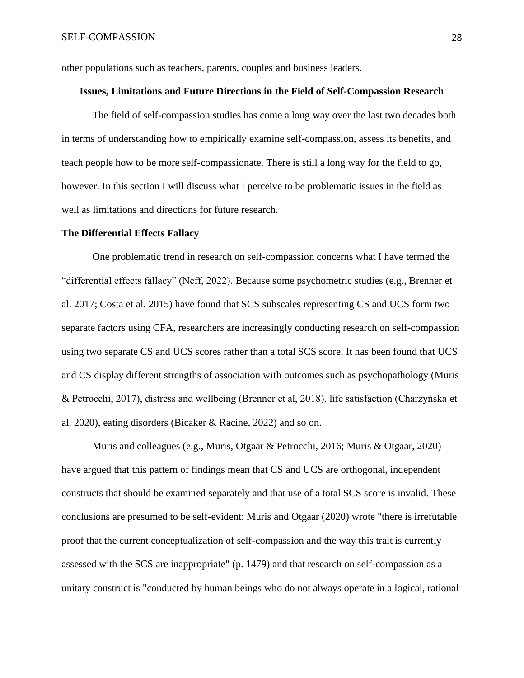other populations such as teachers, parents, couples and business leaders.

#### **Issues, Limitations and Future Directions in the Field of Self-Compassion Research**

The field of self-compassion studies has come a long way over the last two decades both in terms of understanding how to empirically examine self-compassion, assess its benefits, and teach people how to be more self-compassionate. There is still a long way for the field to go, however. In this section I will discuss what I perceive to be problematic issues in the field as well as limitations and directions for future research.

#### **The Differential Effects Fallacy**

One problematic trend in research on self-compassion concerns what I have termed the "differential effects fallacy" (Neff, 2022). Because some psychometric studies (e.g., Brenner et al. 2017; Costa et al. 2015) have found that SCS subscales representing CS and UCS form two separate factors using CFA, researchers are increasingly conducting research on self-compassion using two separate CS and UCS scores rather than a total SCS score. It has been found that UCS and CS display different strengths of association with outcomes such as psychopathology (Muris & Petrocchi, 2017), distress and wellbeing (Brenner et al, 2018), life satisfaction (Charzyńska et al. 2020), eating disorders (Bicaker & Racine, 2022) and so on.

Muris and colleagues (e.g., Muris, Otgaar & Petrocchi, 2016; Muris & Otgaar, 2020) have argued that this pattern of findings mean that CS and UCS are orthogonal, independent constructs that should be examined separately and that use of a total SCS score is invalid. These conclusions are presumed to be self-evident: Muris and Otgaar (2020) wrote "there is irrefutable proof that the current conceptualization of self-compassion and the way this trait is currently assessed with the SCS are inappropriate" (p. 1479) and that research on self-compassion as a unitary construct is "conducted by human beings who do not always operate in a logical, rational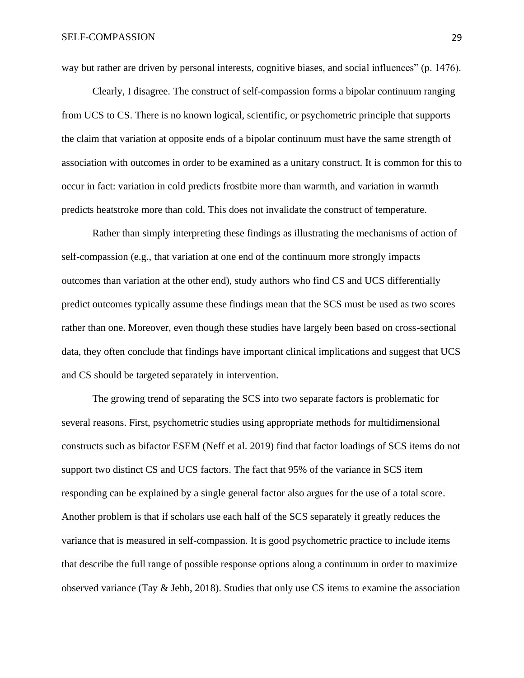way but rather are driven by personal interests, cognitive biases, and social influences" (p. 1476).

Clearly, I disagree. The construct of self-compassion forms a bipolar continuum ranging from UCS to CS. There is no known logical, scientific, or psychometric principle that supports the claim that variation at opposite ends of a bipolar continuum must have the same strength of association with outcomes in order to be examined as a unitary construct. It is common for this to occur in fact: variation in cold predicts frostbite more than warmth, and variation in warmth predicts heatstroke more than cold. This does not invalidate the construct of temperature.

Rather than simply interpreting these findings as illustrating the mechanisms of action of self-compassion (e.g., that variation at one end of the continuum more strongly impacts outcomes than variation at the other end), study authors who find CS and UCS differentially predict outcomes typically assume these findings mean that the SCS must be used as two scores rather than one. Moreover, even though these studies have largely been based on cross-sectional data, they often conclude that findings have important clinical implications and suggest that UCS and CS should be targeted separately in intervention.

The growing trend of separating the SCS into two separate factors is problematic for several reasons. First, psychometric studies using appropriate methods for multidimensional constructs such as bifactor ESEM (Neff et al. 2019) find that factor loadings of SCS items do not support two distinct CS and UCS factors. The fact that 95% of the variance in SCS item responding can be explained by a single general factor also argues for the use of a total score. Another problem is that if scholars use each half of the SCS separately it greatly reduces the variance that is measured in self-compassion. It is good psychometric practice to include items that describe the full range of possible response options along a continuum in order to maximize observed variance (Tay & Jebb, 2018). Studies that only use CS items to examine the association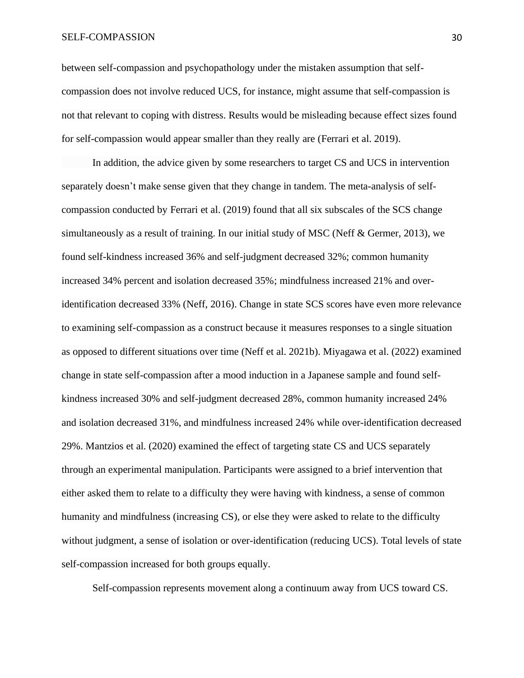#### SELF-COMPASSION 30

between self-compassion and psychopathology under the mistaken assumption that selfcompassion does not involve reduced UCS, for instance, might assume that self-compassion is not that relevant to coping with distress. Results would be misleading because effect sizes found for self-compassion would appear smaller than they really are (Ferrari et al. 2019).

In addition, the advice given by some researchers to target CS and UCS in intervention separately doesn't make sense given that they change in tandem. The meta-analysis of selfcompassion conducted by Ferrari et al. (2019) found that all six subscales of the SCS change simultaneously as a result of training. In our initial study of MSC (Neff & Germer, 2013), we found self-kindness increased 36% and self-judgment decreased 32%; common humanity increased 34% percent and isolation decreased 35%; mindfulness increased 21% and overidentification decreased 33% (Neff, 2016). Change in state SCS scores have even more relevance to examining self-compassion as a construct because it measures responses to a single situation as opposed to different situations over time (Neff et al. 2021b). Miyagawa et al. (2022) examined change in state self-compassion after a mood induction in a Japanese sample and found selfkindness increased 30% and self-judgment decreased 28%, common humanity increased 24% and isolation decreased 31%, and mindfulness increased 24% while over-identification decreased 29%. Mantzios et al. (2020) examined the effect of targeting state CS and UCS separately through an experimental manipulation. Participants were assigned to a brief intervention that either asked them to relate to a difficulty they were having with kindness, a sense of common humanity and mindfulness (increasing CS), or else they were asked to relate to the difficulty without judgment, a sense of isolation or over-identification (reducing UCS). Total levels of state self-compassion increased for both groups equally.

Self-compassion represents movement along a continuum away from UCS toward CS.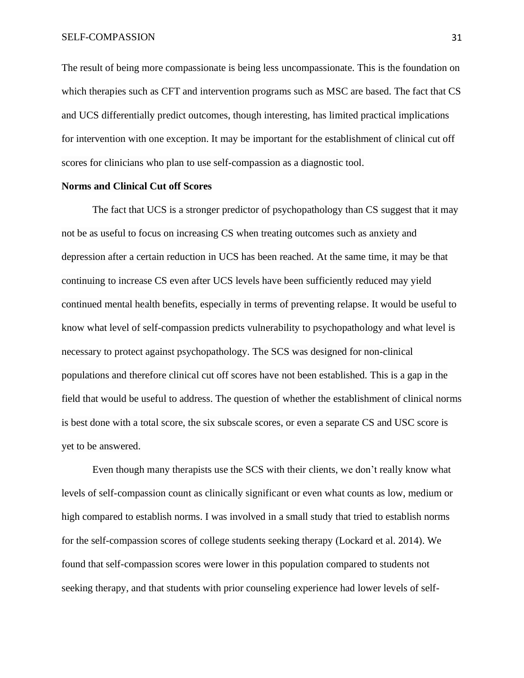The result of being more compassionate is being less uncompassionate. This is the foundation on which therapies such as CFT and intervention programs such as MSC are based. The fact that CS and UCS differentially predict outcomes, though interesting, has limited practical implications for intervention with one exception. It may be important for the establishment of clinical cut off scores for clinicians who plan to use self-compassion as a diagnostic tool.

#### **Norms and Clinical Cut off Scores**

The fact that UCS is a stronger predictor of psychopathology than CS suggest that it may not be as useful to focus on increasing CS when treating outcomes such as anxiety and depression after a certain reduction in UCS has been reached. At the same time, it may be that continuing to increase CS even after UCS levels have been sufficiently reduced may yield continued mental health benefits, especially in terms of preventing relapse. It would be useful to know what level of self-compassion predicts vulnerability to psychopathology and what level is necessary to protect against psychopathology. The SCS was designed for non-clinical populations and therefore clinical cut off scores have not been established. This is a gap in the field that would be useful to address. The question of whether the establishment of clinical norms is best done with a total score, the six subscale scores, or even a separate CS and USC score is yet to be answered.

Even though many therapists use the SCS with their clients, we don't really know what levels of self-compassion count as clinically significant or even what counts as low, medium or high compared to establish norms. I was involved in a small study that tried to establish norms for the self-compassion scores of college students seeking therapy (Lockard et al. 2014). We found that self-compassion scores were lower in this population compared to students not seeking therapy, and that students with prior counseling experience had lower levels of self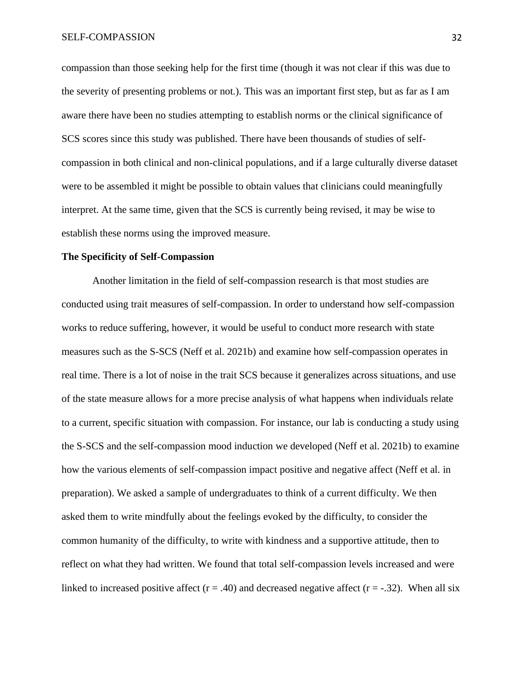compassion than those seeking help for the first time (though it was not clear if this was due to the severity of presenting problems or not.). This was an important first step, but as far as I am aware there have been no studies attempting to establish norms or the clinical significance of SCS scores since this study was published. There have been thousands of studies of selfcompassion in both clinical and non-clinical populations, and if a large culturally diverse dataset were to be assembled it might be possible to obtain values that clinicians could meaningfully interpret. At the same time, given that the SCS is currently being revised, it may be wise to establish these norms using the improved measure.

### **The Specificity of Self-Compassion**

Another limitation in the field of self-compassion research is that most studies are conducted using trait measures of self-compassion. In order to understand how self-compassion works to reduce suffering, however, it would be useful to conduct more research with state measures such as the S-SCS (Neff et al. 2021b) and examine how self-compassion operates in real time. There is a lot of noise in the trait SCS because it generalizes across situations, and use of the state measure allows for a more precise analysis of what happens when individuals relate to a current, specific situation with compassion. For instance, our lab is conducting a study using the S-SCS and the self-compassion mood induction we developed (Neff et al. 2021b) to examine how the various elements of self-compassion impact positive and negative affect (Neff et al. in preparation). We asked a sample of undergraduates to think of a current difficulty. We then asked them to write mindfully about the feelings evoked by the difficulty, to consider the common humanity of the difficulty, to write with kindness and a supportive attitude, then to reflect on what they had written. We found that total self-compassion levels increased and were linked to increased positive affect ( $r = .40$ ) and decreased negative affect ( $r = .32$ ). When all six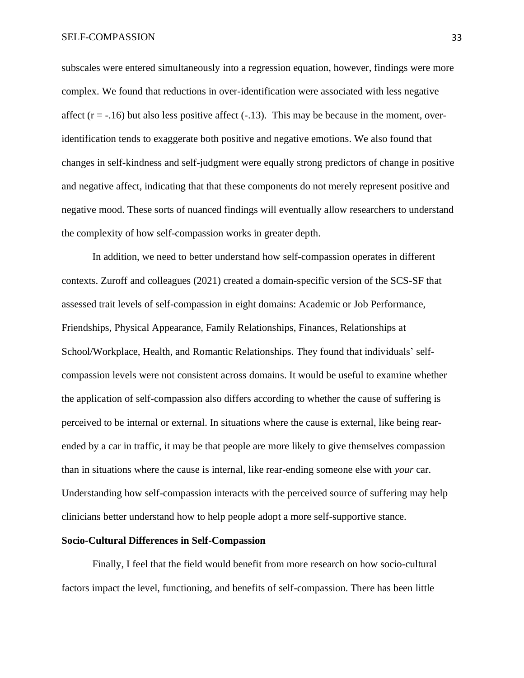subscales were entered simultaneously into a regression equation, however, findings were more complex. We found that reductions in over-identification were associated with less negative affect  $(r = -.16)$  but also less positive affect  $(-.13)$ . This may be because in the moment, overidentification tends to exaggerate both positive and negative emotions. We also found that changes in self-kindness and self-judgment were equally strong predictors of change in positive and negative affect, indicating that that these components do not merely represent positive and negative mood. These sorts of nuanced findings will eventually allow researchers to understand the complexity of how self-compassion works in greater depth.

In addition, we need to better understand how self-compassion operates in different contexts. Zuroff and colleagues (2021) created a domain-specific version of the SCS-SF that assessed trait levels of self-compassion in eight domains: Academic or Job Performance, Friendships, Physical Appearance, Family Relationships, Finances, Relationships at School/Workplace, Health, and Romantic Relationships. They found that individuals' selfcompassion levels were not consistent across domains. It would be useful to examine whether the application of self-compassion also differs according to whether the cause of suffering is perceived to be internal or external. In situations where the cause is external, like being rearended by a car in traffic, it may be that people are more likely to give themselves compassion than in situations where the cause is internal, like rear-ending someone else with *your* car. Understanding how self-compassion interacts with the perceived source of suffering may help clinicians better understand how to help people adopt a more self-supportive stance.

#### **Socio-Cultural Differences in Self-Compassion**

Finally, I feel that the field would benefit from more research on how socio-cultural factors impact the level, functioning, and benefits of self-compassion. There has been little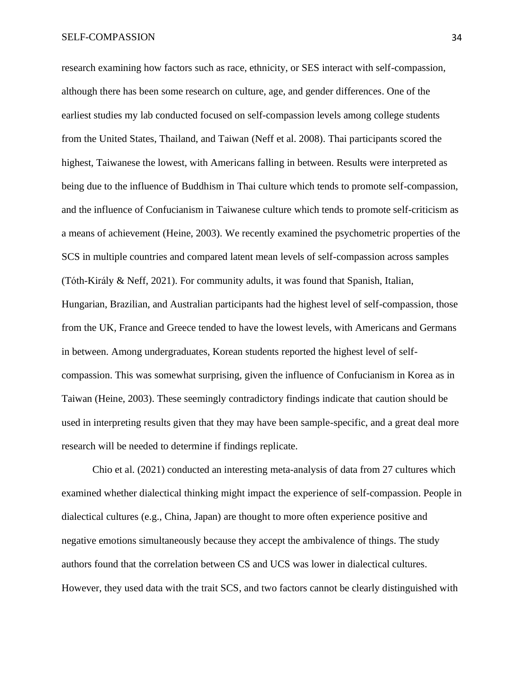research examining how factors such as race, ethnicity, or SES interact with self-compassion, although there has been some research on culture, age, and gender differences. One of the earliest studies my lab conducted focused on self-compassion levels among college students from the United States, Thailand, and Taiwan (Neff et al. 2008). Thai participants scored the highest, Taiwanese the lowest, with Americans falling in between. Results were interpreted as being due to the influence of Buddhism in Thai culture which tends to promote self-compassion, and the influence of Confucianism in Taiwanese culture which tends to promote self-criticism as a means of achievement (Heine, 2003). We recently examined the psychometric properties of the SCS in multiple countries and compared latent mean levels of self-compassion across samples (Tóth-Király & Neff, 2021). For community adults, it was found that Spanish, Italian, Hungarian, Brazilian, and Australian participants had the highest level of self-compassion, those from the UK, France and Greece tended to have the lowest levels, with Americans and Germans in between. Among undergraduates, Korean students reported the highest level of selfcompassion. This was somewhat surprising, given the influence of Confucianism in Korea as in Taiwan (Heine, 2003). These seemingly contradictory findings indicate that caution should be used in interpreting results given that they may have been sample-specific, and a great deal more research will be needed to determine if findings replicate.

Chio et al. (2021) conducted an interesting meta-analysis of data from 27 cultures which examined whether dialectical thinking might impact the experience of self-compassion. People in dialectical cultures (e.g., China, Japan) are thought to more often experience positive and negative emotions simultaneously because they accept the ambivalence of things. The study authors found that the correlation between CS and UCS was lower in dialectical cultures. However, they used data with the trait SCS, and two factors cannot be clearly distinguished with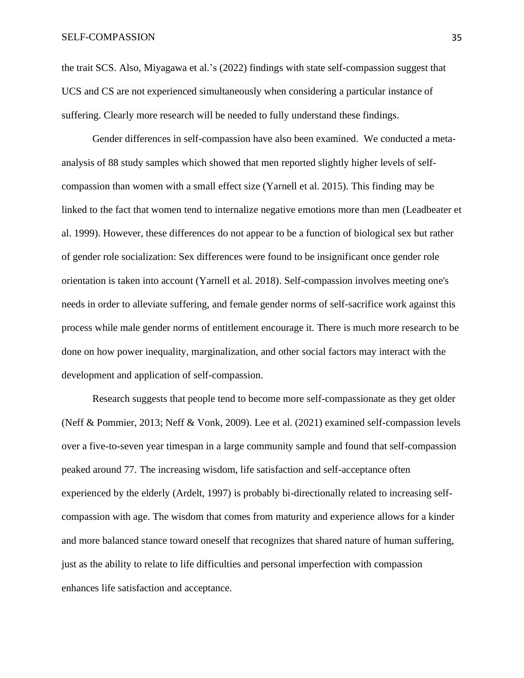the trait SCS. Also, Miyagawa et al.'s (2022) findings with state self-compassion suggest that UCS and CS are not experienced simultaneously when considering a particular instance of suffering. Clearly more research will be needed to fully understand these findings.

Gender differences in self-compassion have also been examined. We conducted a metaanalysis of 88 study samples which showed that men reported slightly higher levels of selfcompassion than women with a small effect size (Yarnell et al. 2015). This finding may be linked to the fact that women tend to internalize negative emotions more than men (Leadbeater et al. 1999). However, these differences do not appear to be a function of biological sex but rather of gender role socialization: Sex differences were found to be insignificant once gender role orientation is taken into account (Yarnell et al. 2018). Self-compassion involves meeting one's needs in order to alleviate suffering, and female gender norms of self-sacrifice work against this process while male gender norms of entitlement encourage it. There is much more research to be done on how power inequality, marginalization, and other social factors may interact with the development and application of self-compassion.

Research suggests that people tend to become more self-compassionate as they get older (Neff & Pommier, 2013; Neff & Vonk, 2009). Lee et al. (2021) examined self-compassion levels over a five-to-seven year timespan in a large community sample and found that self-compassion peaked around 77. The increasing wisdom, life satisfaction and self-acceptance often experienced by the elderly (Ardelt, 1997) is probably bi-directionally related to increasing selfcompassion with age. The wisdom that comes from maturity and experience allows for a kinder and more balanced stance toward oneself that recognizes that shared nature of human suffering, just as the ability to relate to life difficulties and personal imperfection with compassion enhances life satisfaction and acceptance.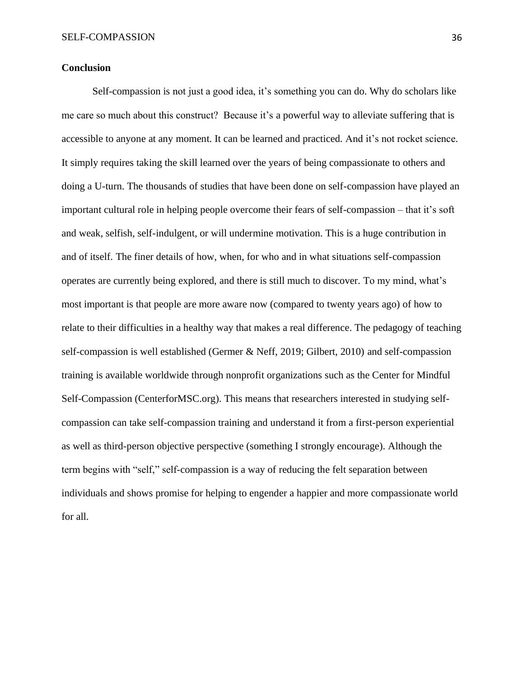## **Conclusion**

Self-compassion is not just a good idea, it's something you can do. Why do scholars like me care so much about this construct? Because it's a powerful way to alleviate suffering that is accessible to anyone at any moment. It can be learned and practiced. And it's not rocket science. It simply requires taking the skill learned over the years of being compassionate to others and doing a U-turn. The thousands of studies that have been done on self-compassion have played an important cultural role in helping people overcome their fears of self-compassion – that it's soft and weak, selfish, self-indulgent, or will undermine motivation. This is a huge contribution in and of itself. The finer details of how, when, for who and in what situations self-compassion operates are currently being explored, and there is still much to discover. To my mind, what's most important is that people are more aware now (compared to twenty years ago) of how to relate to their difficulties in a healthy way that makes a real difference. The pedagogy of teaching self-compassion is well established (Germer & Neff, 2019; Gilbert, 2010) and self-compassion training is available worldwide through nonprofit organizations such as the Center for Mindful Self-Compassion (CenterforMSC.org). This means that researchers interested in studying selfcompassion can take self-compassion training and understand it from a first-person experiential as well as third-person objective perspective (something I strongly encourage). Although the term begins with "self," self-compassion is a way of reducing the felt separation between individuals and shows promise for helping to engender a happier and more compassionate world for all.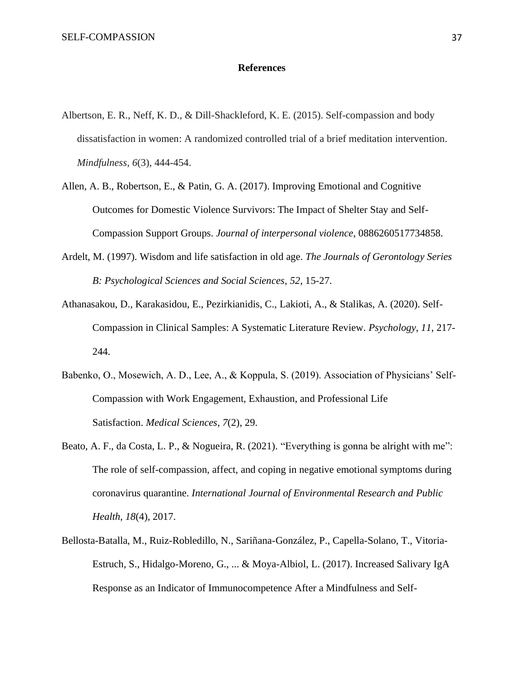## **References**

- Albertson, E. R., Neff, K. D., & Dill-Shackleford, K. E. (2015). Self-compassion and body dissatisfaction in women: A randomized controlled trial of a brief meditation intervention. *Mindfulness*, *6*(3), 444-454.
- Allen, A. B., Robertson, E., & Patin, G. A. (2017). Improving Emotional and Cognitive Outcomes for Domestic Violence Survivors: The Impact of Shelter Stay and Self-Compassion Support Groups. *Journal of interpersonal violence*, 0886260517734858.
- Ardelt, M. (1997). Wisdom and life satisfaction in old age. *The Journals of Gerontology Series B: Psychological Sciences and Social Sciences*, *52*, 15-27.
- Athanasakou, D., Karakasidou, E., Pezirkianidis, C., Lakioti, A., & Stalikas, A. (2020). Self-Compassion in Clinical Samples: A Systematic Literature Review. *Psychology*, *11*, 217- 244.
- Babenko, O., Mosewich, A. D., Lee, A., & Koppula, S. (2019). Association of Physicians' Self-Compassion with Work Engagement, Exhaustion, and Professional Life Satisfaction. *Medical Sciences*, *7*(2), 29.
- Beato, A. F., da Costa, L. P., & Nogueira, R. (2021). "Everything is gonna be alright with me": The role of self-compassion, affect, and coping in negative emotional symptoms during coronavirus quarantine. *International Journal of Environmental Research and Public Health*, *18*(4), 2017.
- Bellosta-Batalla, M., Ruiz-Robledillo, N., Sariñana-González, P., Capella-Solano, T., Vitoria-Estruch, S., Hidalgo-Moreno, G., ... & Moya-Albiol, L. (2017). Increased Salivary IgA Response as an Indicator of Immunocompetence After a Mindfulness and Self-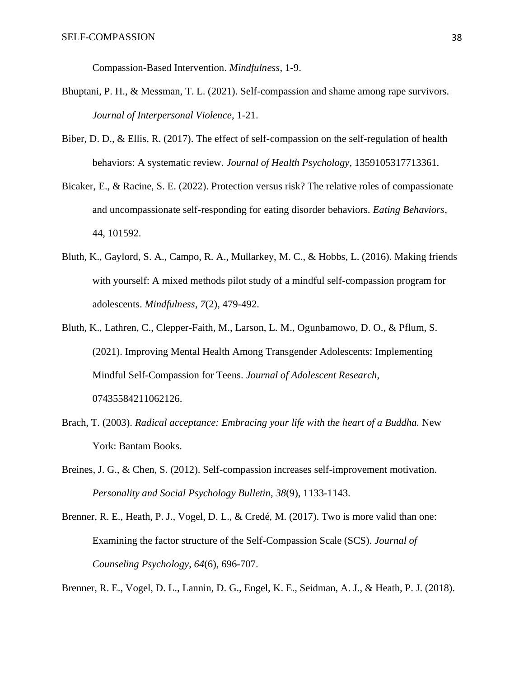Compassion-Based Intervention. *Mindfulness*, 1-9.

- Bhuptani, P. H., & Messman, T. L. (2021). Self-compassion and shame among rape survivors. *Journal of Interpersonal Violence*, 1-21.
- Biber, D. D., & Ellis, R. (2017). The effect of self-compassion on the self-regulation of health behaviors: A systematic review. *Journal of Health Psychology*, 1359105317713361.
- Bicaker, E., & Racine, S. E. (2022). Protection versus risk? The relative roles of compassionate and uncompassionate self-responding for eating disorder behaviors. *Eating Behaviors*, 44, 101592.
- Bluth, K., Gaylord, S. A., Campo, R. A., Mullarkey, M. C., & Hobbs, L. (2016). Making friends with yourself: A mixed methods pilot study of a mindful self-compassion program for adolescents. *Mindfulness*, *7*(2), 479-492.
- Bluth, K., Lathren, C., Clepper-Faith, M., Larson, L. M., Ogunbamowo, D. O., & Pflum, S. (2021). Improving Mental Health Among Transgender Adolescents: Implementing Mindful Self-Compassion for Teens. *Journal of Adolescent Research*, 07435584211062126.
- Brach, T. (2003). *Radical acceptance: Embracing your life with the heart of a Buddha.* New York: Bantam Books.
- Breines, J. G., & Chen, S. (2012). Self-compassion increases self-improvement motivation. *Personality and Social Psychology Bulletin*, *38*(9), 1133-1143.
- Brenner, R. E., Heath, P. J., Vogel, D. L., & Credé, M. (2017). Two is more valid than one: Examining the factor structure of the Self-Compassion Scale (SCS). *Journal of Counseling Psychology*, *64*(6), 696-707.

Brenner, R. E., Vogel, D. L., Lannin, D. G., Engel, K. E., Seidman, A. J., & Heath, P. J. (2018).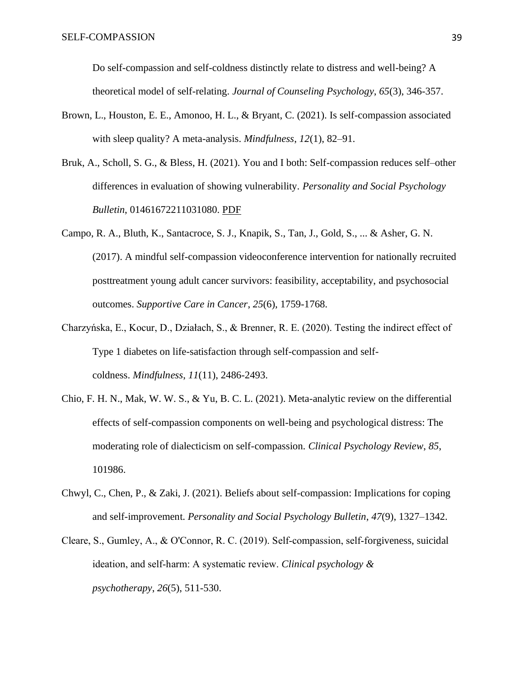Do self-compassion and self-coldness distinctly relate to distress and well-being? A theoretical model of self-relating. *Journal of Counseling Psychology*, *65*(3), 346-357.

- Brown, L., Houston, E. E., Amonoo, H. L., & Bryant, C. (2021). Is self-compassion associated with sleep quality? A meta-analysis. *Mindfulness*, *12*(1), 82–91.
- Bruk, A., Scholl, S. G., & Bless, H. (2021). You and I both: Self-compassion reduces self–other differences in evaluation of showing vulnerability. *Personality and Social Psychology Bulletin*, 01461672211031080. [PDF](https://self-compassion.org/wp-content/uploads/2021/11/Bruk-et-al.-2021-You-and-I-Both-Self-Compassion-Reduces-Self–Other.pdf)
- Campo, R. A., Bluth, K., Santacroce, S. J., Knapik, S., Tan, J., Gold, S., ... & Asher, G. N. (2017). A mindful self-compassion videoconference intervention for nationally recruited posttreatment young adult cancer survivors: feasibility, acceptability, and psychosocial outcomes. *Supportive Care in Cancer*, *25*(6), 1759-1768.
- Charzyńska, E., Kocur, D., Działach, S., & Brenner, R. E. (2020). Testing the indirect effect of Type 1 diabetes on life-satisfaction through self-compassion and selfcoldness. *Mindfulness*, *11*(11), 2486-2493.
- Chio, F. H. N., Mak, W. W. S., & Yu, B. C. L. (2021). Meta-analytic review on the differential effects of self-compassion components on well-being and psychological distress: The moderating role of dialecticism on self-compassion. *Clinical Psychology Review*, *85*, 101986.
- Chwyl, C., Chen, P., & Zaki, J. (2021). Beliefs about self-compassion: Implications for coping and self-improvement. *Personality and Social Psychology Bulletin*, *47*(9), 1327–1342.
- Cleare, S., Gumley, A., & O'Connor, R. C. (2019). Self‐compassion, self‐forgiveness, suicidal ideation, and self‐harm: A systematic review. *Clinical psychology & psychotherapy*, *26*(5), 511-530.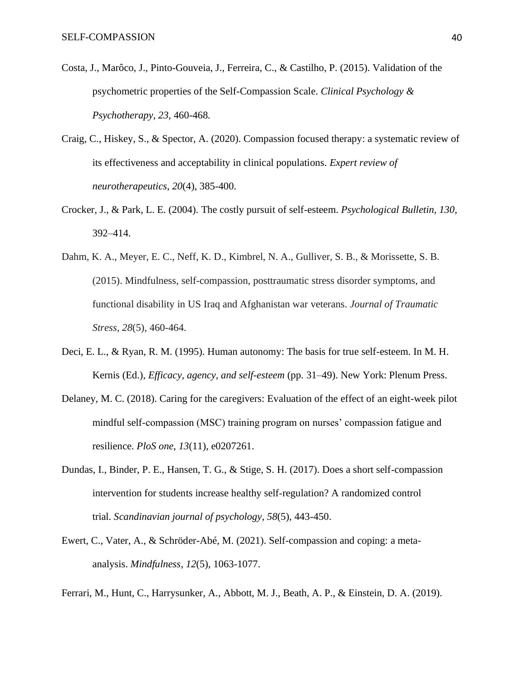- Costa, J., Marôco, J., Pinto-Gouveia, J., Ferreira, C., & Castilho, P. (2015). Validation of the psychometric properties of the Self-Compassion Scale. *Clinical Psychology & Psychotherapy, 23,* 460-468*.*
- Craig, C., Hiskey, S., & Spector, A. (2020). Compassion focused therapy: a systematic review of its effectiveness and acceptability in clinical populations. *Expert review of neurotherapeutics*, *20*(4), 385-400.
- Crocker, J., & Park, L. E. (2004). The costly pursuit of self-esteem. *Psychological Bulletin, 130*, 392–414.
- Dahm, K. A., Meyer, E. C., Neff, K. D., Kimbrel, N. A., Gulliver, S. B., & Morissette, S. B. (2015). Mindfulness, self-compassion, posttraumatic stress disorder symptoms, and functional disability in US Iraq and Afghanistan war veterans. *Journal of Traumatic Stress*, *28*(5), 460-464.
- Deci, E. L., & Ryan, R. M. (1995). Human autonomy: The basis for true self-esteem. In M. H. Kernis (Ed.), *Efficacy, agency, and self-esteem* (pp. 31–49). New York: Plenum Press.
- Delaney, M. C. (2018). Caring for the caregivers: Evaluation of the effect of an eight-week pilot mindful self-compassion (MSC) training program on nurses' compassion fatigue and resilience. *PloS one*, *13*(11), e0207261.
- Dundas, I., Binder, P. E., Hansen, T. G., & Stige, S. H. (2017). Does a short self-compassion intervention for students increase healthy self‐regulation? A randomized control trial. *Scandinavian journal of psychology*, *58*(5), 443-450.
- Ewert, C., Vater, A., & Schröder-Abé, M. (2021). Self-compassion and coping: a metaanalysis. *Mindfulness*, *12*(5), 1063-1077.
- Ferrari, M., Hunt, C., Harrysunker, A., Abbott, M. J., Beath, A. P., & Einstein, D. A. (2019).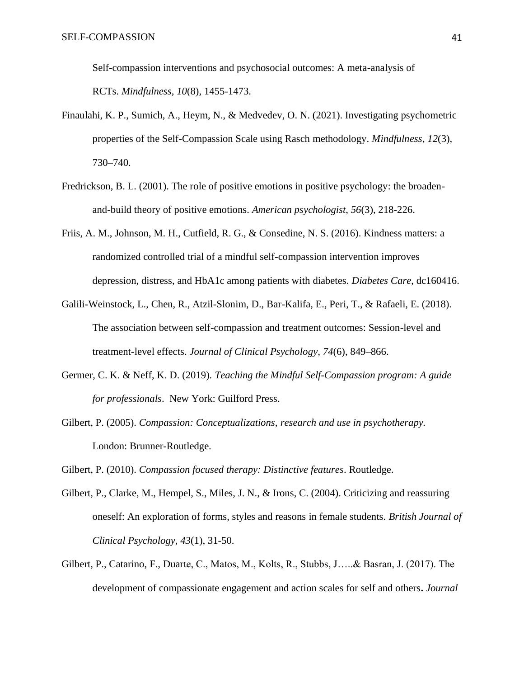Self-compassion interventions and psychosocial outcomes: A meta-analysis of RCTs. *Mindfulness*, *10*(8), 1455-1473.

- Finaulahi, K. P., Sumich, A., Heym, N., & Medvedev, O. N. (2021). Investigating psychometric properties of the Self-Compassion Scale using Rasch methodology. *Mindfulness*, *12*(3), 730–740.
- Fredrickson, B. L. (2001). The role of positive emotions in positive psychology: the broadenand-build theory of positive emotions. *American psychologist*, *56*(3), 218-226.
- Friis, A. M., Johnson, M. H., Cutfield, R. G., & Consedine, N. S. (2016). Kindness matters: a randomized controlled trial of a mindful self-compassion intervention improves depression, distress, and HbA1c among patients with diabetes. *Diabetes Care*, dc160416.
- Galili-Weinstock, L., Chen, R., Atzil-Slonim, D., Bar-Kalifa, E., Peri, T., & Rafaeli, E. (2018). The association between self-compassion and treatment outcomes: Session-level and treatment-level effects. *Journal of Clinical Psychology, 74*(6), 849–866.
- Germer, C. K. & Neff, K. D. (2019)*. Teaching the Mindful Self-Compassion program: A guide for professionals*. New York: Guilford Press.
- Gilbert, P. (2005). *Compassion: Conceptualizations, research and use in psychotherapy.*  London: Brunner-Routledge.

Gilbert, P. (2010). *Compassion focused therapy: Distinctive features*. Routledge.

- Gilbert, P., Clarke, M., Hempel, S., Miles, J. N., & Irons, C. (2004). Criticizing and reassuring oneself: An exploration of forms, styles and reasons in female students. *British Journal of Clinical Psychology*, *43*(1), 31-50.
- Gilbert, P., Catarino, F., Duarte, C., Matos, M., Kolts, R., Stubbs, J…..& Basran, J. (2017). The development of compassionate engagement and action scales for self and others**.** *Journal*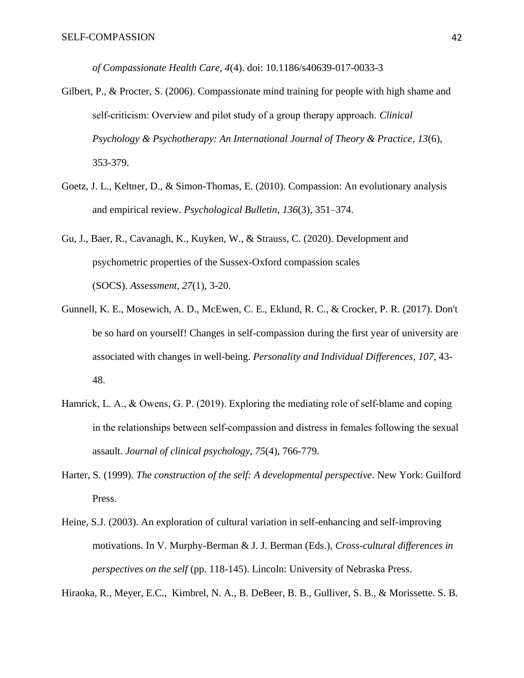*of Compassionate Health Care, 4*(4). doi: 10.1186/s40639-017-0033-3

- Gilbert, P., & Procter, S. (2006). Compassionate mind training for people with high shame and self‐criticism: Overview and pilot study of a group therapy approach. *Clinical Psychology & Psychotherapy: An International Journal of Theory & Practice*, *13*(6), 353-379.
- Goetz, J. L., Keltner, D., & Simon-Thomas, E. (2010). Compassion: An evolutionary analysis and empirical review. *Psychological Bulletin*, *136*(3), 351–374.
- Gu, J., Baer, R., Cavanagh, K., Kuyken, W., & Strauss, C. (2020). Development and psychometric properties of the Sussex-Oxford compassion scales (SOCS). *Assessment*, *27*(1), 3-20.
- Gunnell, K. E., Mosewich, A. D., McEwen, C. E., Eklund, R. C., & Crocker, P. R. (2017). Don't be so hard on yourself! Changes in self-compassion during the first year of university are associated with changes in well-being. *Personality and Individual Differences*, *107*, 43- 48.
- Hamrick, L. A., & Owens, G. P. (2019). Exploring the mediating role of self-blame and coping in the relationships between self-compassion and distress in females following the sexual assault. *Journal of clinical psychology*, *75*(4), 766-779.
- Harter, S. (1999). *The construction of the self: A developmental perspective*. New York: Guilford Press.
- Heine, S.J. (2003). An exploration of cultural variation in self-enhancing and self-improving motivations. In V. Murphy-Berman & J. J. Berman (Eds.), *Cross-cultural differences in perspectives on the self* (pp. 118-145). Lincoln: University of Nebraska Press.

Hiraoka, R., Meyer, E.C., Kimbrel, N. A., B. DeBeer, B. B., Gulliver, S. B., & Morissette. S. B.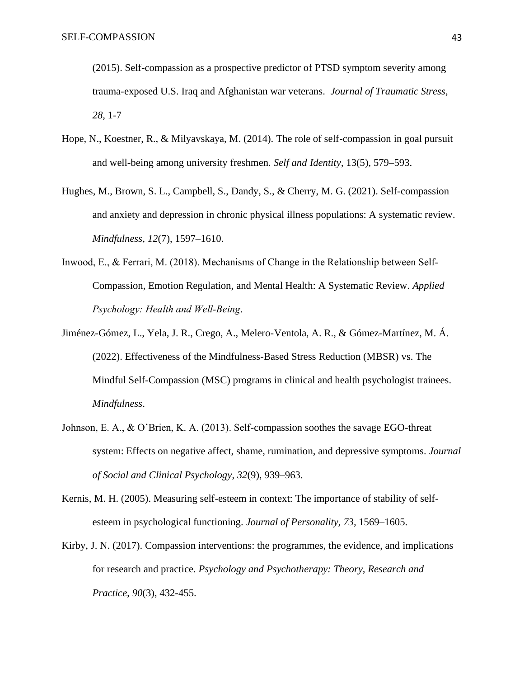(2015). Self-compassion as a prospective predictor of PTSD symptom severity among trauma-exposed U.S. Iraq and Afghanistan war veterans. *Journal of Traumatic Stress, 28*, 1-7

- Hope, N., Koestner, R., & Milyavskaya, M. (2014). The role of self-compassion in goal pursuit and well-being among university freshmen. *Self and Identity*, 13(5), 579–593.
- Hughes, M., Brown, S. L., Campbell, S., Dandy, S., & Cherry, M. G. (2021). Self-compassion and anxiety and depression in chronic physical illness populations: A systematic review. *Mindfulness*, *12*(7), 1597–1610.
- Inwood, E., & Ferrari, M. (2018). Mechanisms of Change in the Relationship between Self-Compassion, Emotion Regulation, and Mental Health: A Systematic Review. *Applied Psychology: Health and Well‐Being*.
- Jiménez-Gómez, L., Yela, J. R., Crego, A., Melero-Ventola, A. R., & Gómez-Martínez, M. Á. (2022). Effectiveness of the Mindfulness-Based Stress Reduction (MBSR) vs. The Mindful Self-Compassion (MSC) programs in clinical and health psychologist trainees. *Mindfulness*.
- Johnson, E. A., & O'Brien, K. A. (2013). Self-compassion soothes the savage EGO-threat system: Effects on negative affect, shame, rumination, and depressive symptoms. *Journal of Social and Clinical Psychology*, *32*(9), 939–963.
- Kernis, M. H. (2005). Measuring self-esteem in context: The importance of stability of selfesteem in psychological functioning. *Journal of Personality, 73,* 1569–1605.
- Kirby, J. N. (2017). Compassion interventions: the programmes, the evidence, and implications for research and practice. *Psychology and Psychotherapy: Theory, Research and Practice*, *90*(3), 432-455.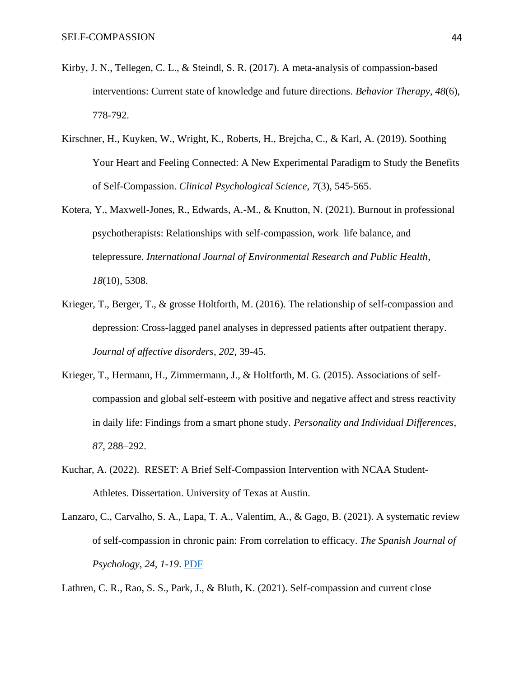- Kirby, J. N., Tellegen, C. L., & Steindl, S. R. (2017). A meta-analysis of compassion-based interventions: Current state of knowledge and future directions. *Behavior Therapy*, *48*(6), 778-792.
- Kirschner, H., Kuyken, W., Wright, K., Roberts, H., Brejcha, C., & Karl, A. (2019). Soothing Your Heart and Feeling Connected: A New Experimental Paradigm to Study the Benefits of Self-Compassion. *Clinical Psychological Science*, *7*(3), 545-565.
- Kotera, Y., Maxwell-Jones, R., Edwards, A.-M., & Knutton, N. (2021). Burnout in professional psychotherapists: Relationships with self-compassion, work–life balance, and telepressure. *International Journal of Environmental Research and Public Health*, *18*(10), 5308.
- Krieger, T., Berger, T., & grosse Holtforth, M. (2016). The relationship of self-compassion and depression: Cross-lagged panel analyses in depressed patients after outpatient therapy. *Journal of affective disorders*, *202*, 39-45.
- Krieger, T., Hermann, H., Zimmermann, J., & Holtforth, M. G. (2015). Associations of selfcompassion and global self-esteem with positive and negative affect and stress reactivity in daily life: Findings from a smart phone study. *Personality and Individual Differences*, *87*, 288–292.
- Kuchar, A. (2022). RESET: A Brief Self-Compassion Intervention with NCAA Student-Athletes. Dissertation. University of Texas at Austin.
- Lanzaro, C., Carvalho, S. A., Lapa, T. A., Valentim, A., & Gago, B. (2021). A systematic review of self-compassion in chronic pain: From correlation to efficacy. *The Spanish Journal of Psychology*, *24, 1-19*. [PDF](https://self-compassion.org/wp-content/uploads/2021/11/Lanzaro-et-al.-2021-A-Systematic-Review-of-Self-Compassion-in-Chronic-.pdf)

Lathren, C. R., Rao, S. S., Park, J., & Bluth, K. (2021). Self-compassion and current close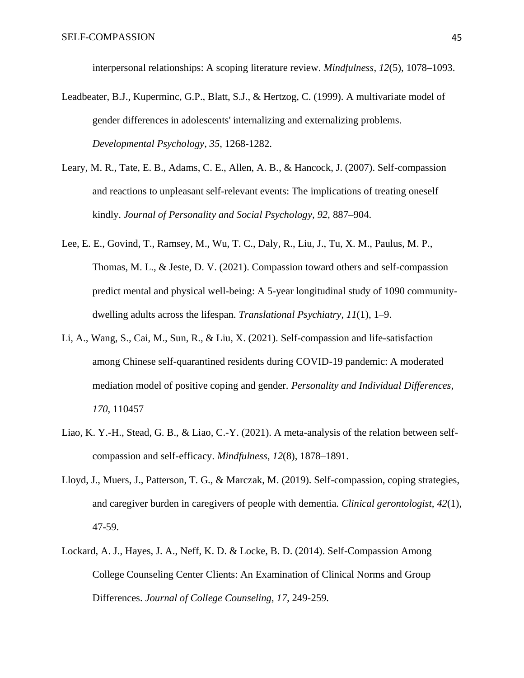interpersonal relationships: A scoping literature review. *Mindfulness*, *12*(5), 1078–1093.

- Leadbeater, B.J., Kuperminc, G.P., Blatt, S.J., & Hertzog, C. (1999). A multivariate model of gender differences in adolescents' internalizing and externalizing problems. *Developmental Psychology*, *35*, 1268-1282.
- Leary, M. R., Tate, E. B., Adams, C. E., Allen, A. B., & Hancock, J. (2007). Self-compassion and reactions to unpleasant self-relevant events: The implications of treating oneself kindly. *Journal of Personality and Social Psychology, 92,* 887–904.
- Lee, E. E., Govind, T., Ramsey, M., Wu, T. C., Daly, R., Liu, J., Tu, X. M., Paulus, M. P., Thomas, M. L., & Jeste, D. V. (2021). Compassion toward others and self-compassion predict mental and physical well-being: A 5-year longitudinal study of 1090 communitydwelling adults across the lifespan. *Translational Psychiatry*, *11*(1), 1–9.
- Li, A., Wang, S., Cai, M., Sun, R., & Liu, X. (2021). Self-compassion and life-satisfaction among Chinese self-quarantined residents during COVID-19 pandemic: A moderated mediation model of positive coping and gender. *Personality and Individual Differences*, *170*, 110457
- Liao, K. Y.-H., Stead, G. B., & Liao, C.-Y. (2021). A meta-analysis of the relation between selfcompassion and self-efficacy. *Mindfulness*, *12*(8), 1878–1891.
- Lloyd, J., Muers, J., Patterson, T. G., & Marczak, M. (2019). Self-compassion, coping strategies, and caregiver burden in caregivers of people with dementia. *Clinical gerontologist*, *42*(1), 47-59.
- Lockard, A. J., Hayes, J. A., Neff, K. D. & Locke, B. D. (2014). Self-Compassion Among College Counseling Center Clients: An Examination of Clinical Norms and Group Differences. *Journal of College Counseling, 17,* 249-259*.*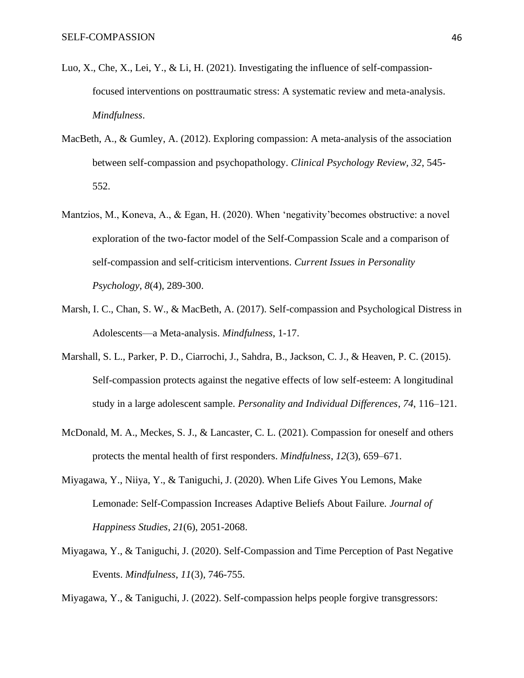- Luo, X., Che, X., Lei, Y., & Li, H. (2021). Investigating the influence of self-compassionfocused interventions on posttraumatic stress: A systematic review and meta-analysis. *Mindfulness*.
- MacBeth, A., & Gumley, A. (2012). Exploring compassion: A meta-analysis of the association between self-compassion and psychopathology. *Clinical Psychology Review, 32*, 545- 552.
- Mantzios, M., Koneva, A., & Egan, H. (2020). When 'negativity'becomes obstructive: a novel exploration of the two-factor model of the Self-Compassion Scale and a comparison of self-compassion and self-criticism interventions. *Current Issues in Personality Psychology*, *8*(4), 289-300.
- Marsh, I. C., Chan, S. W., & MacBeth, A. (2017). Self-compassion and Psychological Distress in Adolescents—a Meta-analysis. *Mindfulness*, 1-17.
- Marshall, S. L., Parker, P. D., Ciarrochi, J., Sahdra, B., Jackson, C. J., & Heaven, P. C. (2015). Self-compassion protects against the negative effects of low self-esteem: A longitudinal study in a large adolescent sample. *Personality and Individual Differences*, *74*, 116–121.
- McDonald, M. A., Meckes, S. J., & Lancaster, C. L. (2021). Compassion for oneself and others protects the mental health of first responders. *Mindfulness*, *12*(3), 659–671.
- Miyagawa, Y., Niiya, Y., & Taniguchi, J. (2020). When Life Gives You Lemons, Make Lemonade: Self-Compassion Increases Adaptive Beliefs About Failure. *Journal of Happiness Studies*, *21*(6), 2051-2068.
- Miyagawa, Y., & Taniguchi, J. (2020). Self-Compassion and Time Perception of Past Negative Events. *Mindfulness*, *11*(3), 746-755.

Miyagawa, Y., & Taniguchi, J. (2022). Self-compassion helps people forgive transgressors: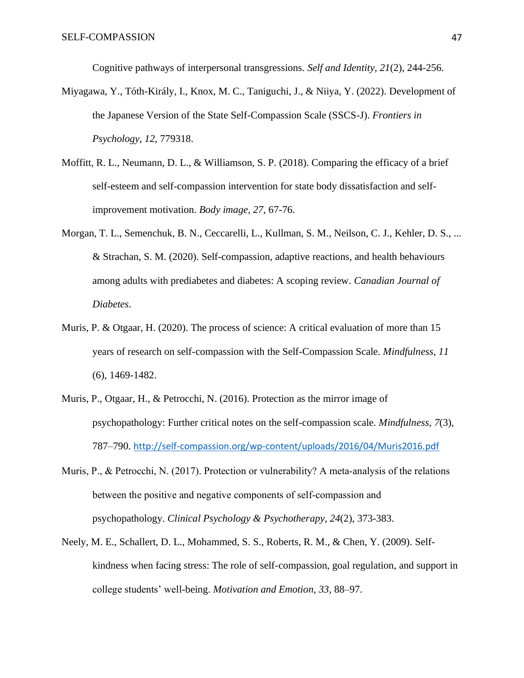Cognitive pathways of interpersonal transgressions. *Self and Identity*, *21*(2), 244-256.

- Miyagawa, Y., Tóth-Király, I., Knox, M. C., Taniguchi, J., & Niiya, Y. (2022). Development of the Japanese Version of the State Self-Compassion Scale (SSCS-J). *Frontiers in Psychology*, *12*, 779318.
- Moffitt, R. L., Neumann, D. L., & Williamson, S. P. (2018). Comparing the efficacy of a brief self-esteem and self-compassion intervention for state body dissatisfaction and selfimprovement motivation. *Body image*, *27*, 67-76.
- Morgan, T. L., Semenchuk, B. N., Ceccarelli, L., Kullman, S. M., Neilson, C. J., Kehler, D. S., ... & Strachan, S. M. (2020). Self-compassion, adaptive reactions, and health behaviours among adults with prediabetes and diabetes: A scoping review. *Canadian Journal of Diabetes*.
- Muris, P. & Otgaar, H. (2020). The process of science: A critical evaluation of more than 15 years of research on self-compassion with the Self-Compassion Scale. *Mindfulness, 11*  (6), 1469-1482.
- Muris, P., Otgaar, H., & Petrocchi, N. (2016). Protection as the mirror image of psychopathology: Further critical notes on the self-compassion scale. *Mindfulness*, *7*(3)*,*  787–790. <http://self-compassion.org/wp-content/uploads/2016/04/Muris2016.pdf>
- Muris, P., & Petrocchi, N. (2017). Protection or vulnerability? A meta-analysis of the relations between the positive and negative components of self‐compassion and psychopathology. *Clinical Psychology & Psychotherapy*, *24*(2), 373-383.
- Neely, M. E., Schallert, D. L., Mohammed, S. S., Roberts, R. M., & Chen, Y. (2009). Selfkindness when facing stress: The role of self-compassion, goal regulation, and support in college students' well-being. *Motivation and Emotion, 33,* 88–97.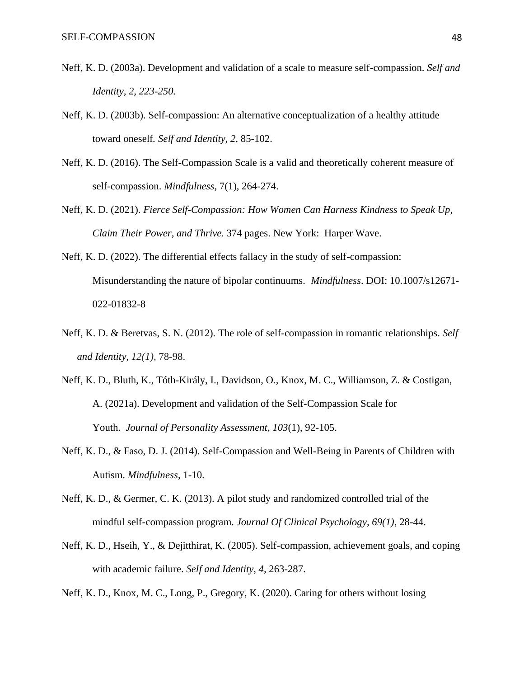- Neff, K. D. (2003a). Development and validation of a scale to measure self-compassion. *Self and Identity, 2, 223-250.*
- Neff, K. D. (2003b). Self-compassion: An alternative conceptualization of a healthy attitude toward oneself*. Self and Identity, 2,* 85-102.
- Neff, K. D. (2016). The Self-Compassion Scale is a valid and theoretically coherent measure of self-compassion. *Mindfulness*, 7(1), 264-274.
- Neff, K. D. (2021). *Fierce Self-Compassion: How Women Can Harness Kindness to Speak Up, Claim Their Power, and Thrive.* 374 pages. New York: Harper Wave.
- Neff, K. D. (2022). The differential effects fallacy in the study of self-compassion: Misunderstanding the nature of bipolar continuums. *Mindfulness*. DOI: 10.1007/s12671- 022-01832-8
- Neff, K. D. & Beretvas, S. N. (2012). The role of self-compassion in romantic relationships. *Self and Identity, 12(1),* 78-98.
- Neff, K. D., Bluth, K., Tóth-Király, I., Davidson, O., Knox, M. C., Williamson, Z. & Costigan, A. (2021a). Development and validation of the Self-Compassion Scale for Youth. *Journal of Personality Assessment*, *103*(1), 92-105.
- Neff, K. D., & Faso, D. J. (2014). Self-Compassion and Well-Being in Parents of Children with Autism. *Mindfulness*, 1-10.
- Neff, K. D., & Germer, C. K. (2013). A pilot study and randomized controlled trial of the mindful self-compassion program. *Journal Of Clinical Psychology, 69(1)*, 28-44.
- Neff, K. D., Hseih, Y., & Dejitthirat, K. (2005). Self-compassion, achievement goals, and coping with academic failure. *Self and Identity, 4,* 263-287.
- Neff, K. D., Knox, M. C., Long, P., Gregory, K. (2020). Caring for others without losing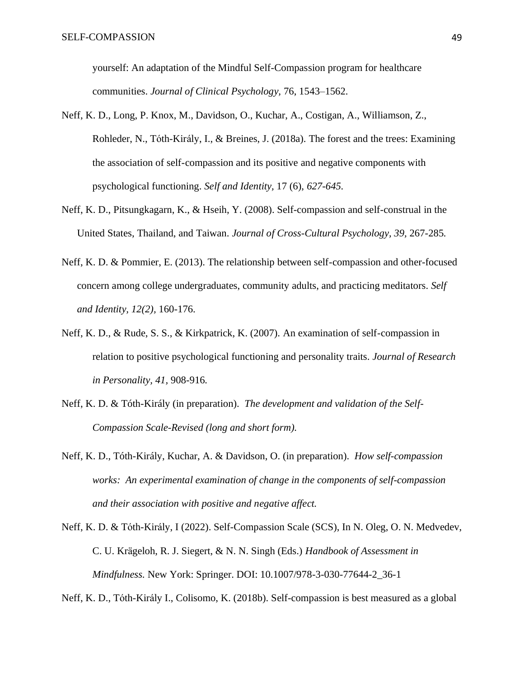yourself: An adaptation of the Mindful Self-Compassion program for healthcare communities. *Journal of Clinical Psychology,* 76, 1543–1562.

- Neff, K. D., Long, P. Knox, M., Davidson, O., Kuchar, A., Costigan, A., Williamson, Z., Rohleder, N., Tóth-Király, I., & Breines, J. (2018a). The forest and the trees: Examining the association of self-compassion and its positive and negative components with psychological functioning. *Self and Identity,* 17 (6), *627-645.*
- Neff, K. D., Pitsungkagarn, K., & Hseih, Y. (2008). Self-compassion and self-construal in the United States, Thailand, and Taiwan. *Journal of Cross-Cultural Psychology, 39,* 267-285*.*
- Neff, K. D. & Pommier, E. (2013). The relationship between self-compassion and other-focused concern among college undergraduates, community adults, and practicing meditators. *Self and Identity, 12(2),* 160-176.
- Neff, K. D., & Rude, S. S., & Kirkpatrick, K. (2007). An examination of self-compassion in relation to positive psychological functioning and personality traits. *Journal of Research in Personality, 41,* 908-916*.*
- Neff, K. D. & Tóth-Király (in preparation). *The development and validation of the Self-Compassion Scale-Revised (long and short form).*
- Neff, K. D., Tóth-Király, Kuchar, A. & Davidson, O. (in preparation). *How self-compassion works: An experimental examination of change in the components of self-compassion and their association with positive and negative affect.*
- Neff, K. D. & Tóth-Király, I (2022). Self-Compassion Scale (SCS), In N. Oleg, O. N. Medvedev, C. U. Krägeloh, R. J. Siegert, & N. N. Singh (Eds.) *Handbook of Assessment in Mindfulness.* New York: Springer. DOI: 10.1007/978-3-030-77644-2\_36-1

Neff, K. D., Tóth-Király I., Colisomo, K. (2018b). Self-compassion is best measured as a global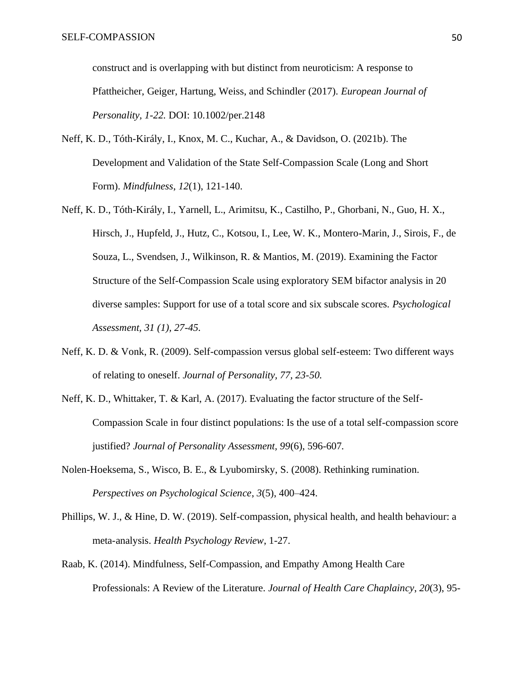construct and is overlapping with but distinct from neuroticism: A response to Pfattheicher, Geiger, Hartung, Weiss, and Schindler (2017)*. European Journal of Personality, 1-22.* DOI: 10.1002/per.2148

- Neff, K. D., Tóth-Király, I., Knox, M. C., Kuchar, A., & Davidson, O. (2021b). The Development and Validation of the State Self-Compassion Scale (Long and Short Form). *Mindfulness*, *12*(1), 121-140.
- Neff, K. D., Tóth-Király, I., Yarnell, L., Arimitsu, K., Castilho, P., Ghorbani, N., Guo, H. X., Hirsch, J., Hupfeld, J., Hutz, C., Kotsou, I., Lee, W. K., Montero-Marin, J., Sirois, F., de Souza, L., Svendsen, J., Wilkinson, R. & Mantios, M. (2019). Examining the Factor Structure of the Self-Compassion Scale using exploratory SEM bifactor analysis in 20 diverse samples: Support for use of a total score and six subscale scores. *Psychological Assessment, 31 (1), 27-45.*
- Neff, K. D. & Vonk, R. (2009). Self-compassion versus global self-esteem: Two different ways of relating to oneself. *Journal of Personality, 77, 23-50.*
- Neff, K. D., Whittaker, T. & Karl, A. (2017). Evaluating the factor structure of the Self-Compassion Scale in four distinct populations: Is the use of a total self-compassion score justified? *Journal of Personality Assessment, 99*(6), 596-607*.*
- Nolen-Hoeksema, S., Wisco, B. E., & Lyubomirsky, S. (2008). Rethinking rumination. *Perspectives on Psychological Science*, *3*(5), 400–424.
- Phillips, W. J., & Hine, D. W. (2019). Self-compassion, physical health, and health behaviour: a meta-analysis. *Health Psychology Review*, 1-27.
- Raab, K. (2014). Mindfulness, Self-Compassion, and Empathy Among Health Care Professionals: A Review of the Literature. *Journal of Health Care Chaplaincy*, *20*(3), 95-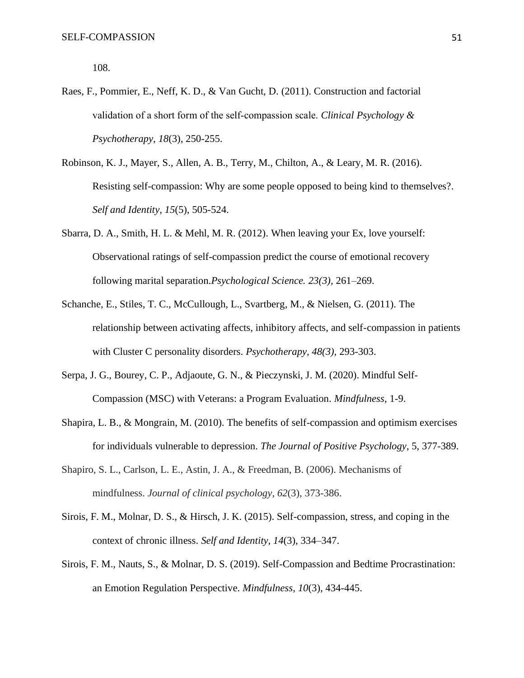108.

- Raes, F., Pommier, E., Neff, K. D., & Van Gucht, D. (2011). Construction and factorial validation of a short form of the self‐compassion scale. *Clinical Psychology & Psychotherapy*, *18*(3), 250-255.
- Robinson, K. J., Mayer, S., Allen, A. B., Terry, M., Chilton, A., & Leary, M. R. (2016). Resisting self-compassion: Why are some people opposed to being kind to themselves?. *Self and Identity*, *15*(5), 505-524.
- Sbarra, D. A., Smith, H. L. & Mehl, M. R. (2012). When leaving your Ex, love yourself: Observational ratings of self-compassion predict the course of emotional recovery following marital separation.*Psychological Science. 23(3),* 261–269.
- Schanche, E., Stiles, T. C., McCullough, L., Svartberg, M., & Nielsen, G. (2011). The relationship between activating affects, inhibitory affects, and self-compassion in patients with Cluster C personality disorders. *Psychotherapy, 48(3),* 293-303.
- Serpa, J. G., Bourey, C. P., Adjaoute, G. N., & Pieczynski, J. M. (2020). Mindful Self-Compassion (MSC) with Veterans: a Program Evaluation. *Mindfulness*, 1-9.
- Shapira, L. B., & Mongrain, M. (2010). The benefits of self-compassion and optimism exercises for individuals vulnerable to depression. *The Journal of Positive Psychology*, 5, 377-389.
- Shapiro, S. L., Carlson, L. E., Astin, J. A., & Freedman, B. (2006). Mechanisms of mindfulness. *Journal of clinical psychology*, *62*(3), 373-386.
- Sirois, F. M., Molnar, D. S., & Hirsch, J. K. (2015). Self-compassion, stress, and coping in the context of chronic illness. *Self and Identity*, *14*(3), 334–347.
- Sirois, F. M., Nauts, S., & Molnar, D. S. (2019). Self-Compassion and Bedtime Procrastination: an Emotion Regulation Perspective. *Mindfulness*, *10*(3), 434-445.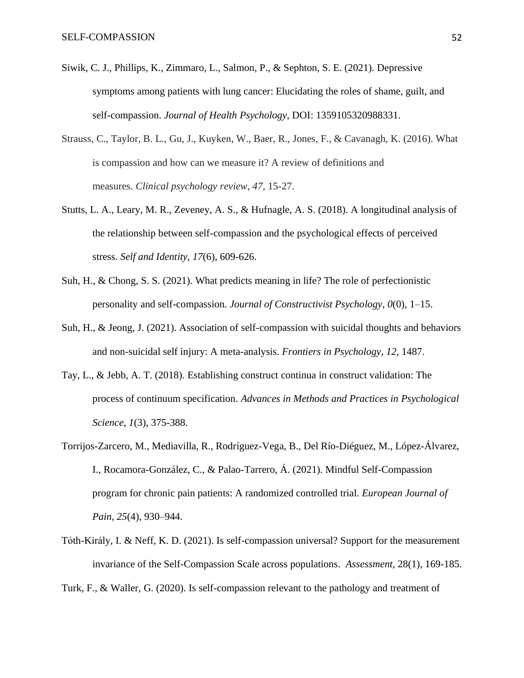- Siwik, C. J., Phillips, K., Zimmaro, L., Salmon, P., & Sephton, S. E. (2021). Depressive symptoms among patients with lung cancer: Elucidating the roles of shame, guilt, and self-compassion. *Journal of Health Psychology*, DOI: 1359105320988331.
- Strauss, C., Taylor, B. L., Gu, J., Kuyken, W., Baer, R., Jones, F., & Cavanagh, K. (2016). What is compassion and how can we measure it? A review of definitions and measures. *Clinical psychology review*, *47*, 15-27.
- Stutts, L. A., Leary, M. R., Zeveney, A. S., & Hufnagle, A. S. (2018). A longitudinal analysis of the relationship between self-compassion and the psychological effects of perceived stress. *Self and Identity*, *17*(6), 609-626.
- Suh, H., & Chong, S. S. (2021). What predicts meaning in life? The role of perfectionistic personality and self-compassion. *Journal of Constructivist Psychology*, *0*(0), 1–15.
- Suh, H., & Jeong, J. (2021). Association of self-compassion with suicidal thoughts and behaviors and non-suicidal self injury: A meta-analysis. *Frontiers in Psychology*, *12*, 1487.
- Tay, L., & Jebb, A. T. (2018). Establishing construct continua in construct validation: The process of continuum specification. *Advances in Methods and Practices in Psychological Science*, *1*(3), 375-388.
- Torrijos-Zarcero, M., Mediavilla, R., Rodríguez-Vega, B., Del Río-Diéguez, M., López-Álvarez, I., Rocamora-González, C., & Palao-Tarrero, Á. (2021). Mindful Self-Compassion program for chronic pain patients: A randomized controlled trial. *European Journal of Pain*, *25*(4), 930–944.
- Tóth-Király, I. & Neff, K. D. (2021). Is self-compassion universal? Support for the measurement invariance of the Self-Compassion Scale across populations. *Assessment*, 28(1), 169-185.

Turk, F., & Waller, G. (2020). Is self-compassion relevant to the pathology and treatment of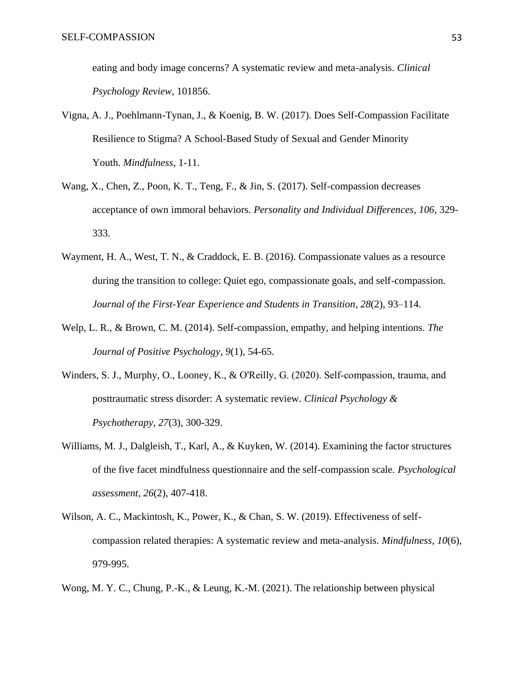eating and body image concerns? A systematic review and meta-analysis. *Clinical Psychology Review*, 101856.

- Vigna, A. J., Poehlmann-Tynan, J., & Koenig, B. W. (2017). Does Self-Compassion Facilitate Resilience to Stigma? A School-Based Study of Sexual and Gender Minority Youth. *Mindfulness*, 1-11.
- Wang, X., Chen, Z., Poon, K. T., Teng, F., & Jin, S. (2017). Self-compassion decreases acceptance of own immoral behaviors. *Personality and Individual Differences*, *106*, 329- 333.
- Wayment, H. A., West, T. N., & Craddock, E. B. (2016). Compassionate values as a resource during the transition to college: Quiet ego, compassionate goals, and self-compassion. *Journal of the First-Year Experience and Students in Transition*, *28*(2), 93–114.
- Welp, L. R., & Brown, C. M. (2014). Self-compassion, empathy, and helping intentions. *The Journal of Positive Psychology*, *9*(1), 54-65.
- Winders, S. J., Murphy, O., Looney, K., & O'Reilly, G. (2020). Self-compassion, trauma, and posttraumatic stress disorder: A systematic review. *Clinical Psychology & Psychotherapy*, *27*(3), 300-329.
- Williams, M. J., Dalgleish, T., Karl, A., & Kuyken, W. (2014). Examining the factor structures of the five facet mindfulness questionnaire and the self-compassion scale. *Psychological assessment*, *26*(2), 407-418.
- Wilson, A. C., Mackintosh, K., Power, K., & Chan, S. W. (2019). Effectiveness of selfcompassion related therapies: A systematic review and meta-analysis. *Mindfulness*, *10*(6), 979-995.
- Wong, M. Y. C., Chung, P.-K., & Leung, K.-M. (2021). The relationship between physical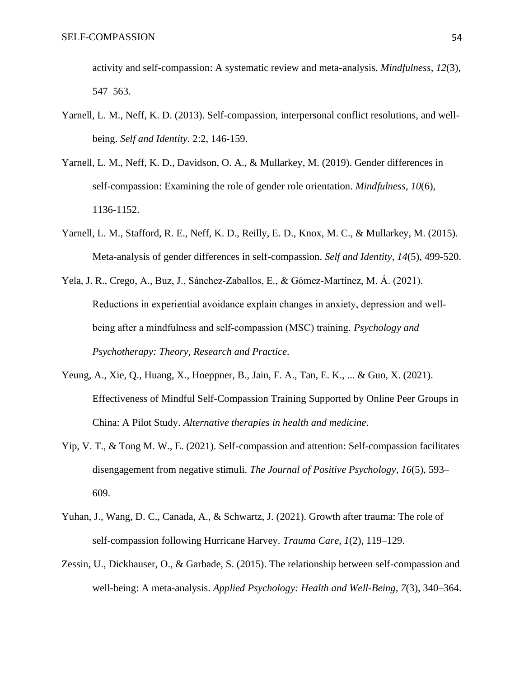activity and self-compassion: A systematic review and meta-analysis. *Mindfulness*, *12*(3), 547–563.

- Yarnell, L. M., Neff, K. D. (2013). Self-compassion, interpersonal conflict resolutions, and wellbeing. *Self and Identity.* 2:2, 146-159.
- Yarnell, L. M., Neff, K. D., Davidson, O. A., & Mullarkey, M. (2019). Gender differences in self-compassion: Examining the role of gender role orientation. *Mindfulness*, *10*(6), 1136-1152.
- Yarnell, L. M., Stafford, R. E., Neff, K. D., Reilly, E. D., Knox, M. C., & Mullarkey, M. (2015). Meta-analysis of gender differences in self-compassion. *Self and Identity*, *14*(5), 499-520.
- Yela, J. R., Crego, A., Buz, J., Sánchez‐Zaballos, E., & Gómez‐Martínez, M. Á. (2021). Reductions in experiential avoidance explain changes in anxiety, depression and well‐ being after a mindfulness and self‐compassion (MSC) training. *Psychology and Psychotherapy: Theory, Research and Practice*.
- Yeung, A., Xie, Q., Huang, X., Hoeppner, B., Jain, F. A., Tan, E. K., ... & Guo, X. (2021). Effectiveness of Mindful Self-Compassion Training Supported by Online Peer Groups in China: A Pilot Study. *Alternative therapies in health and medicine*.
- Yip, V. T., & Tong M. W., E. (2021). Self-compassion and attention: Self-compassion facilitates disengagement from negative stimuli. *The Journal of Positive Psychology*, *16*(5), 593– 609.
- Yuhan, J., Wang, D. C., Canada, A., & Schwartz, J. (2021). Growth after trauma: The role of self-compassion following Hurricane Harvey. *Trauma Care*, *1*(2), 119–129.
- Zessin, U., Dickhauser, O., & Garbade, S. (2015). The relationship between self-compassion and well-being: A meta-analysis. *Applied Psychology: Health and Well-Being, 7*(3), 340–364.